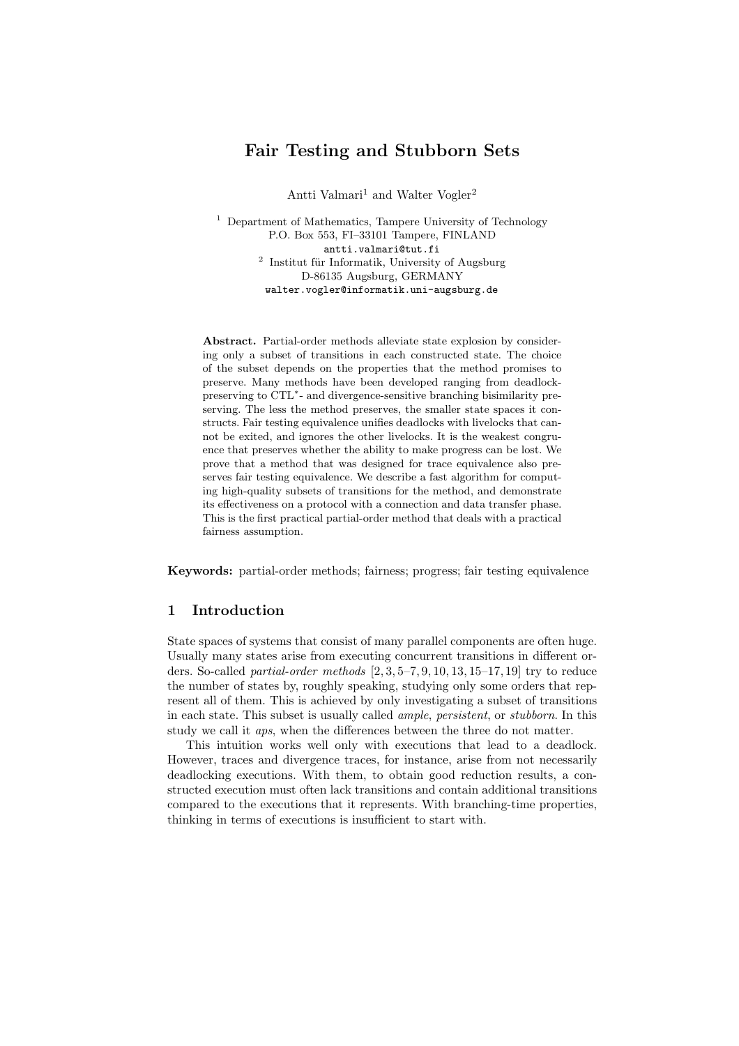# Fair Testing and Stubborn Sets

Antti Valmari<sup>1</sup> and Walter Vogler<sup>2</sup>

 $^{\rm 1}$  Department of Mathematics, Tampere University of Technology P.O. Box 553, FI–33101 Tampere, FINLAND antti.valmari@tut.fi <sup>2</sup> Institut für Informatik, University of Augsburg D-86135 Augsburg, GERMANY walter.vogler@informatik.uni-augsburg.de

Abstract. Partial-order methods alleviate state explosion by considering only a subset of transitions in each constructed state. The choice of the subset depends on the properties that the method promises to preserve. Many methods have been developed ranging from deadlockpreserving to CTL<sup>∗</sup> - and divergence-sensitive branching bisimilarity preserving. The less the method preserves, the smaller state spaces it constructs. Fair testing equivalence unifies deadlocks with livelocks that cannot be exited, and ignores the other livelocks. It is the weakest congruence that preserves whether the ability to make progress can be lost. We prove that a method that was designed for trace equivalence also preserves fair testing equivalence. We describe a fast algorithm for computing high-quality subsets of transitions for the method, and demonstrate its effectiveness on a protocol with a connection and data transfer phase. This is the first practical partial-order method that deals with a practical fairness assumption.

Keywords: partial-order methods; fairness; progress; fair testing equivalence

#### 1 Introduction

State spaces of systems that consist of many parallel components are often huge. Usually many states arise from executing concurrent transitions in different orders. So-called *partial-order methods* [2, 3, 5–7, 9, 10, 13, 15–17, 19] try to reduce the number of states by, roughly speaking, studying only some orders that represent all of them. This is achieved by only investigating a subset of transitions in each state. This subset is usually called *ample*, *persistent*, or *stubborn*. In this study we call it *aps*, when the differences between the three do not matter.

This intuition works well only with executions that lead to a deadlock. However, traces and divergence traces, for instance, arise from not necessarily deadlocking executions. With them, to obtain good reduction results, a constructed execution must often lack transitions and contain additional transitions compared to the executions that it represents. With branching-time properties, thinking in terms of executions is insufficient to start with.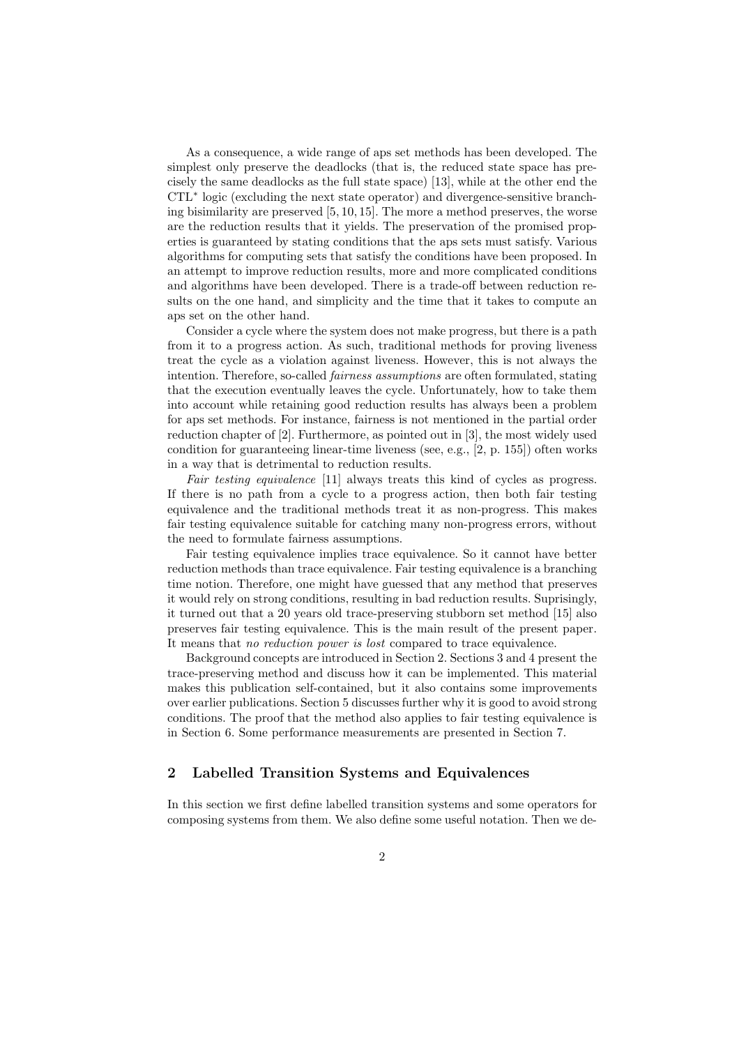As a consequence, a wide range of aps set methods has been developed. The simplest only preserve the deadlocks (that is, the reduced state space has precisely the same deadlocks as the full state space) [13], while at the other end the CTL<sup>∗</sup> logic (excluding the next state operator) and divergence-sensitive branching bisimilarity are preserved [5, 10, 15]. The more a method preserves, the worse are the reduction results that it yields. The preservation of the promised properties is guaranteed by stating conditions that the aps sets must satisfy. Various algorithms for computing sets that satisfy the conditions have been proposed. In an attempt to improve reduction results, more and more complicated conditions and algorithms have been developed. There is a trade-off between reduction results on the one hand, and simplicity and the time that it takes to compute an aps set on the other hand.

Consider a cycle where the system does not make progress, but there is a path from it to a progress action. As such, traditional methods for proving liveness treat the cycle as a violation against liveness. However, this is not always the intention. Therefore, so-called *fairness assumptions* are often formulated, stating that the execution eventually leaves the cycle. Unfortunately, how to take them into account while retaining good reduction results has always been a problem for aps set methods. For instance, fairness is not mentioned in the partial order reduction chapter of [2]. Furthermore, as pointed out in [3], the most widely used condition for guaranteeing linear-time liveness (see, e.g., [2, p. 155]) often works in a way that is detrimental to reduction results.

*Fair testing equivalence* [11] always treats this kind of cycles as progress. If there is no path from a cycle to a progress action, then both fair testing equivalence and the traditional methods treat it as non-progress. This makes fair testing equivalence suitable for catching many non-progress errors, without the need to formulate fairness assumptions.

Fair testing equivalence implies trace equivalence. So it cannot have better reduction methods than trace equivalence. Fair testing equivalence is a branching time notion. Therefore, one might have guessed that any method that preserves it would rely on strong conditions, resulting in bad reduction results. Suprisingly, it turned out that a 20 years old trace-preserving stubborn set method [15] also preserves fair testing equivalence. This is the main result of the present paper. It means that *no reduction power is lost* compared to trace equivalence.

Background concepts are introduced in Section 2. Sections 3 and 4 present the trace-preserving method and discuss how it can be implemented. This material makes this publication self-contained, but it also contains some improvements over earlier publications. Section 5 discusses further why it is good to avoid strong conditions. The proof that the method also applies to fair testing equivalence is in Section 6. Some performance measurements are presented in Section 7.

## 2 Labelled Transition Systems and Equivalences

In this section we first define labelled transition systems and some operators for composing systems from them. We also define some useful notation. Then we de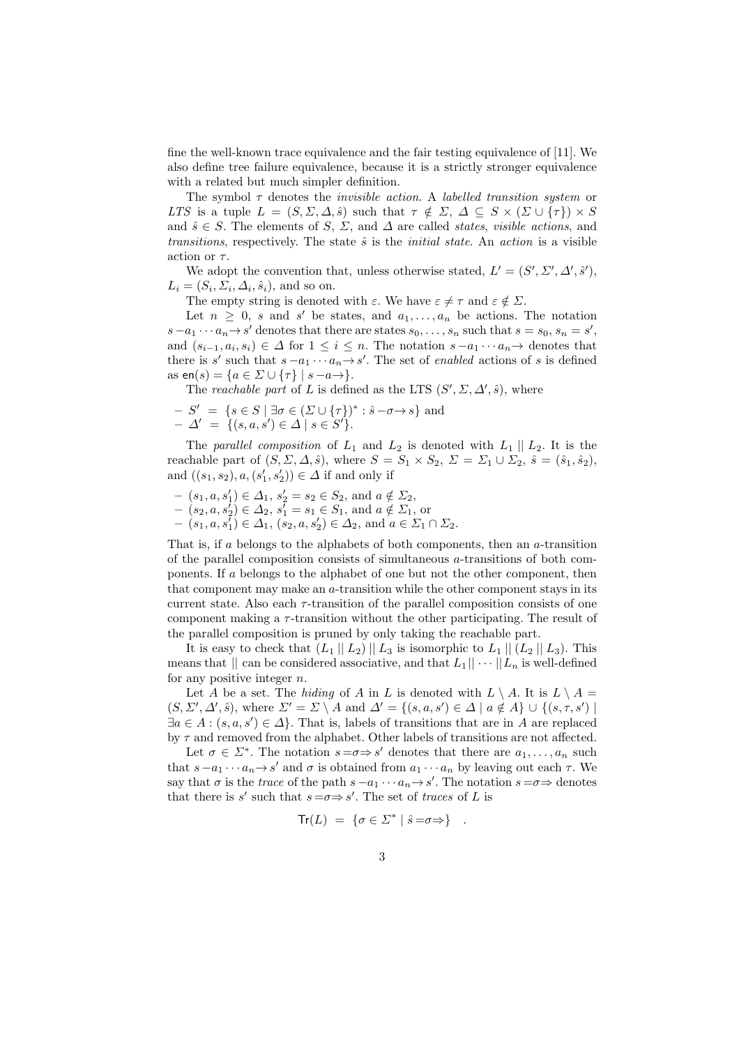fine the well-known trace equivalence and the fair testing equivalence of [11]. We also define tree failure equivalence, because it is a strictly stronger equivalence with a related but much simpler definition.

The symbol τ denotes the *invisible action*. A *labelled transition system* or *LTS* is a tuple  $L = (S, \Sigma, \Delta, \hat{s})$  such that  $\tau \notin \Sigma$ ,  $\Delta \subseteq S \times (\Sigma \cup {\tau}) \times S$ and  $\hat{s} \in S$ . The elements of S,  $\Sigma$ , and  $\Delta$  are called *states*, *visible actions*, and *transitions*, respectively. The state  $\hat{s}$  is the *initial state*. An *action* is a visible action or  $\tau$ .

We adopt the convention that, unless otherwise stated,  $L' = (S', \Sigma', \Delta', \hat{s}'),$  $L_i = (S_i, \Sigma_i, \Delta_i, \hat{s}_i)$ , and so on.

The empty string is denoted with  $\varepsilon$ . We have  $\varepsilon \neq \tau$  and  $\varepsilon \notin \Sigma$ .

Let  $n \geq 0$ , s and s' be states, and  $a_1, \ldots, a_n$  be actions. The notation  $s-a_1\cdots a_n\rightarrow s'$  denotes that there are states  $s_0,\ldots,s_n$  such that  $s=s_0, s_n=s'$ , and  $(s_{i-1}, a_i, s_i) \in \Delta$  for  $1 \leq i \leq n$ . The notation  $s - a_1 \cdots a_n \rightarrow$  denotes that there is s' such that  $s - a_1 \cdots a_n \rightarrow s'$ . The set of *enabled* actions of s is defined as en(s) = { $a \in \Sigma \cup \{\tau\}$  |  $s - a \rightarrow$  }.

The *reachable part* of L is defined as the LTS  $(S', \Sigma, \Delta', \hat{s})$ , where

$$
- S' = \{ s \in S \mid \exists \sigma \in (\Sigma \cup \{\tau\})^* : \hat{s} - \sigma \to s \} \text{ and } -\Delta' = \{ (s, a, s') \in \Delta \mid s \in S' \}.
$$

The *parallel composition* of  $L_1$  and  $L_2$  is denoted with  $L_1 \parallel L_2$ . It is the reachable part of  $(S, \Sigma, \Delta, \hat{s})$ , where  $S = S_1 \times S_2$ ,  $\Sigma = \Sigma_1 \cup \Sigma_2$ ,  $\hat{s} = (\hat{s}_1, \hat{s}_2)$ , and  $((s_1, s_2), a, (s'_1, s'_2)) \in \Delta$  if and only if

- $(s_1, a, s'_1) \in \Delta_1$ ,  $s'_2 = s_2 \in S_2$ , and  $a \notin \Sigma_2$ ,
- $-(s_2, a, s_2) \in \Delta_2, s_1 = s_1 \in S_1$ , and  $a \notin \Sigma_1$ , or
- $(s_1, a, s_1') \in \Delta_1$ ,  $(s_2, a, s_2') \in \Delta_2$ , and  $a \in \Sigma_1 \cap \Sigma_2$ .

That is, if a belongs to the alphabets of both components, then an a-transition of the parallel composition consists of simultaneous a-transitions of both components. If a belongs to the alphabet of one but not the other component, then that component may make an a-transition while the other component stays in its current state. Also each  $\tau$ -transition of the parallel composition consists of one component making a  $\tau$ -transition without the other participating. The result of the parallel composition is pruned by only taking the reachable part.

It is easy to check that  $(L_1 || L_2) || L_3$  is isomorphic to  $L_1 || (L_2 || L_3)$ . This means that  $||$  can be considered associative, and that  $L_1 || \cdots || L_n$  is well-defined for any positive integer  $n$ .

Let A be a set. The *hiding* of A in L is denoted with  $L \setminus A$ . It is  $L \setminus A =$  $(S, \Sigma', \Delta', \hat{s})$ , where  $\Sigma' = \Sigma \setminus A$  and  $\Delta' = \{(s, a, s') \in \Delta \mid a \notin A\} \cup \{(s, \tau, s') \mid s' \in A\}$  $\exists a \in A : (s, a, s') \in \Delta$ . That is, labels of transitions that are in A are replaced by  $\tau$  and removed from the alphabet. Other labels of transitions are not affected.

Let  $\sigma \in \Sigma^*$ . The notation  $s = \sigma \Rightarrow s'$  denotes that there are  $a_1, \ldots, a_n$  such that  $s - a_1 \cdots a_n \rightarrow s'$  and  $\sigma$  is obtained from  $a_1 \cdots a_n$  by leaving out each  $\tau$ . We say that  $\sigma$  is the *trace* of the path  $s - a_1 \cdots a_n \to s'$ . The notation  $s = \sigma \Rightarrow$  denotes that there is s' such that  $s = \sigma \Rightarrow s'$ . The set of *traces* of L is

$$
\operatorname{Tr}(L) = \{ \sigma \in \Sigma^* \mid \hat{s} = \sigma \Rightarrow \} .
$$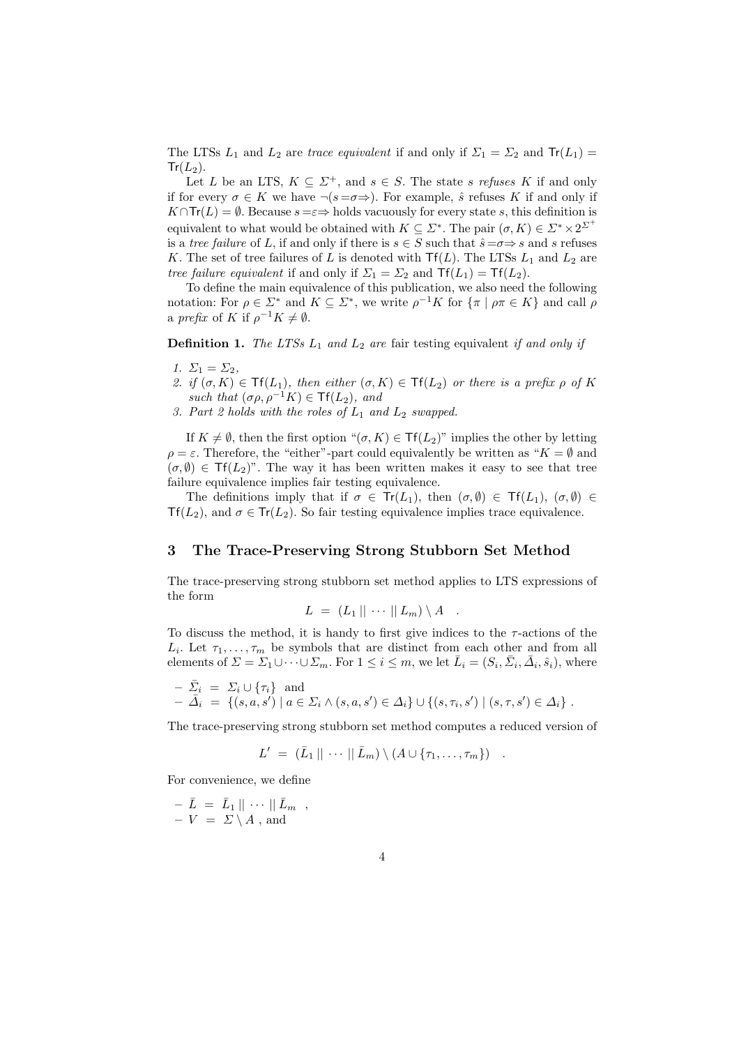The LTSs  $L_1$  and  $L_2$  are *trace equivalent* if and only if  $\Sigma_1 = \Sigma_2$  and  $Tr(L_1)$  $\mathsf{Tr}(L_2)$ .

Let L be an LTS,  $K \subseteq \Sigma^+$ , and  $s \in S$ . The state s refuses K if and only if for every  $\sigma \in K$  we have  $\neg(s = \sigma \Rightarrow)$ . For example,  $\hat{s}$  refuses K if and only if  $K \cap Tr(L) = \emptyset$ . Because  $s = \epsilon \Rightarrow$  holds vacuously for every state s, this definition is equivalent to what would be obtained with  $K \subseteq \Sigma^*$ . The pair  $(\sigma, K) \in \Sigma^* \times 2^{\Sigma^+}$ is a *tree failure* of L, if and only if there is  $s \in S$  such that  $\hat{s} = \sigma \Rightarrow s$  and s refuses K. The set of tree failures of L is denoted with  $\mathsf{Tf}(L)$ . The LTSs  $L_1$  and  $L_2$  are *tree failure equivalent* if and only if  $\Sigma_1 = \Sigma_2$  and  $\mathsf{Tf}(L_1) = \mathsf{Tf}(L_2)$ .

To define the main equivalence of this publication, we also need the following notation: For  $\rho \in \Sigma^*$  and  $K \subseteq \Sigma^*$ , we write  $\rho^{-1}K$  for  $\{\pi \mid \rho \pi \in K\}$  and call  $\rho$ a *prefix* of K if  $\rho^{-1}K \neq \emptyset$ .

**Definition 1.** *The LTSs*  $L_1$  *and*  $L_2$  *are* fair testing equivalent *if and only if* 

- *1.*  $\Sigma_1 = \Sigma_2$ ,
- 2. if  $(\sigma, K) \in \mathsf{Tf}(L_1)$ , then either  $(\sigma, K) \in \mathsf{Tf}(L_2)$  *or there is a prefix*  $\rho$  *of* K *such that*  $(\sigma \rho, \rho^{-1} K) \in \mathsf{Tf}(L_2)$ *, and*
- *3. Part 2 holds with the roles of* L<sup>1</sup> *and* L<sup>2</sup> *swapped.*

If  $K \neq \emptyset$ , then the first option " $(\sigma, K) \in \mathsf{Tf}(L_2)$ " implies the other by letting  $\rho = \varepsilon$ . Therefore, the "either"-part could equivalently be written as " $K = \emptyset$  and  $(\sigma, \emptyset) \in \mathsf{Tf}(L_2)$ ". The way it has been written makes it easy to see that tree failure equivalence implies fair testing equivalence.

The definitions imply that if  $\sigma \in \text{Tr}(L_1)$ , then  $(\sigma, \emptyset) \in \text{Tr}(L_1)$ ,  $(\sigma, \emptyset) \in$  $Tf(L_2)$ , and  $\sigma \in Tr(L_2)$ . So fair testing equivalence implies trace equivalence.

## 3 The Trace-Preserving Strong Stubborn Set Method

The trace-preserving strong stubborn set method applies to LTS expressions of the form

$$
L = (L_1 || \cdots || L_m) \setminus A .
$$

To discuss the method, it is handy to first give indices to the  $\tau$ -actions of the  $L_i$ . Let  $\tau_1, \ldots, \tau_m$  be symbols that are distinct from each other and from all elements of  $\Sigma = \Sigma_1 \cup \cdots \cup \Sigma_m$ . For  $1 \leq i \leq m$ , we let  $\overline{L}_i = (S_i, \overline{\Sigma}_i, \overline{\Delta}_i, \hat{s}_i)$ , where

$$
- \bar{\Sigma}_i = \Sigma_i \cup \{\tau_i\} \text{ and } - \bar{\Delta}_i = \{(s, a, s') \mid a \in \Sigma_i \land (s, a, s') \in \Delta_i\} \cup \{(s, \tau_i, s') \mid (s, \tau, s') \in \Delta_i\}.
$$

The trace-preserving strong stubborn set method computes a reduced version of

$$
L' = (\bar{L}_1 || \cdots || \bar{L}_m) \setminus (A \cup \{\tau_1, \ldots, \tau_m\}) .
$$

For convenience, we define

$$
\begin{array}{rcl}\n- \bar{L} &=& \bar{L}_1 \, || \, \cdots \, || \, \bar{L}_m \, , \\
- \, V\, \, &= \, \Sigma \setminus A \, , \text{ and} \n\end{array}
$$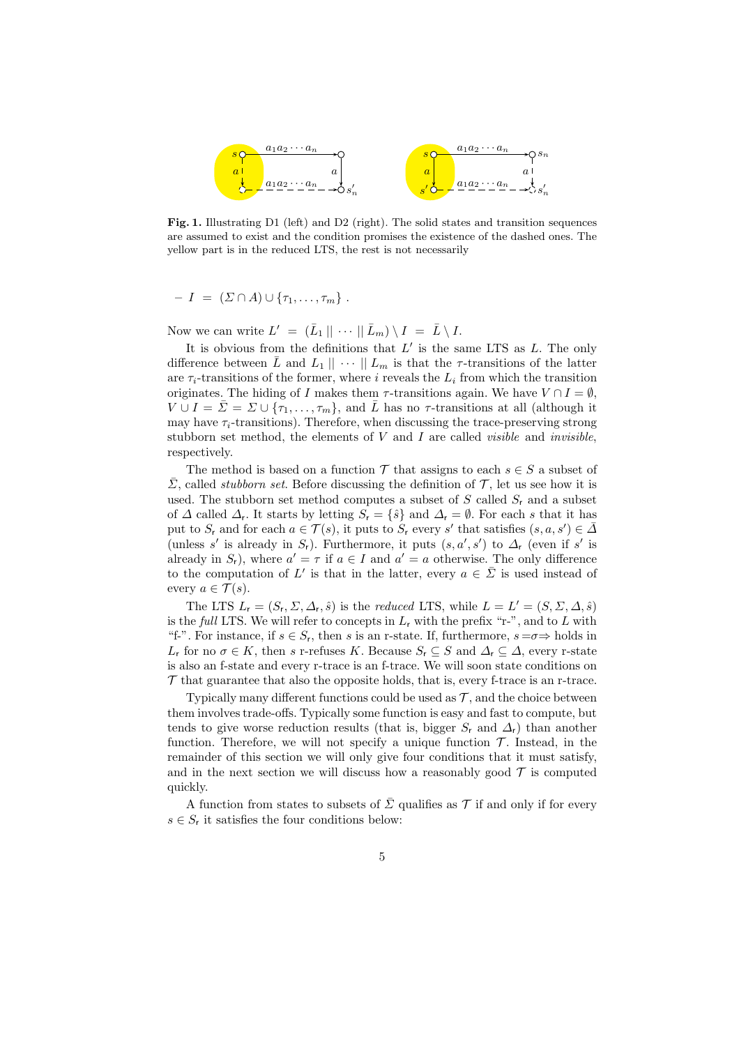

Fig. 1. Illustrating D1 (left) and D2 (right). The solid states and transition sequences are assumed to exist and the condition promises the existence of the dashed ones. The yellow part is in the reduced LTS, the rest is not necessarily

$$
- I = (\Sigma \cap A) \cup \{\tau_1, \ldots, \tau_m\} .
$$

Now we can write  $L' = (\bar{L}_1 || \cdots || \bar{L}_m) \setminus I = \bar{L} \setminus I$ .

It is obvious from the definitions that  $L'$  is the same LTS as  $L$ . The only difference between  $\bar{L}$  and  $L_1 || \cdots || L_m$  is that the  $\tau$ -transitions of the latter are  $\tau_i$ -transitions of the former, where i reveals the  $L_i$  from which the transition originates. The hiding of I makes them  $\tau$ -transitions again. We have  $V \cap I = \emptyset$ ,  $V \cup I = \overline{\Sigma} = \Sigma \cup \{\tau_1, \ldots, \tau_m\}$ , and  $\overline{L}$  has no  $\tau$ -transitions at all (although it may have  $\tau_i$ -transitions). Therefore, when discussing the trace-preserving strong stubborn set method, the elements of V and I are called *visible* and *invisible*, respectively.

The method is based on a function  $\mathcal T$  that assigns to each  $s \in S$  a subset of  $\overline{\Sigma}$ , called *stubborn set*. Before discussing the definition of  $\mathcal{T}$ , let us see how it is used. The stubborn set method computes a subset of  $S$  called  $S<sub>r</sub>$  and a subset of  $\Delta$  called  $\Delta_r$ . It starts by letting  $S_r = \{\hat{s}\}\$ and  $\Delta_r = \emptyset$ . For each s that it has put to  $S_r$  and for each  $a \in \mathcal{T}(s)$ , it puts to  $S_r$  every s' that satisfies  $(s, a, s') \in \overline{\Delta}$ (unless s' is already in  $S_r$ ). Furthermore, it puts  $(s, a', s')$  to  $\Delta_r$  (even if s' is already in  $S_r$ , where  $a' = \tau$  if  $a \in I$  and  $a' = a$  otherwise. The only difference to the computation of L' is that in the latter, every  $a \in \overline{\Sigma}$  is used instead of every  $a \in \mathcal{T}(s)$ .

The LTS  $L_r = (S_r, \Sigma, \Delta_r, \hat{s})$  is the *reduced* LTS, while  $L = L' = (S, \Sigma, \Delta, \hat{s})$ is the *full* LTS. We will refer to concepts in  $L_r$  with the prefix "r-", and to  $L$  with "f-". For instance, if  $s \in S_r$ , then s is an r-state. If, furthermore,  $s = \sigma \Rightarrow$  holds in  $L_r$  for no  $\sigma \in K$ , then s r-refuses K. Because  $S_r \subseteq S$  and  $\Delta_r \subseteq \Delta$ , every r-state is also an f-state and every r-trace is an f-trace. We will soon state conditions on  $\mathcal T$  that guarantee that also the opposite holds, that is, every f-trace is an r-trace.

Typically many different functions could be used as  $\mathcal T$ , and the choice between them involves trade-offs. Typically some function is easy and fast to compute, but tends to give worse reduction results (that is, bigger  $S_r$  and  $\Delta_r$ ) than another function. Therefore, we will not specify a unique function  $\mathcal{T}$ . Instead, in the remainder of this section we will only give four conditions that it must satisfy, and in the next section we will discuss how a reasonably good  $\mathcal T$  is computed quickly.

A function from states to subsets of  $\bar{\Sigma}$  qualifies as T if and only if for every  $s \in S_r$  it satisfies the four conditions below: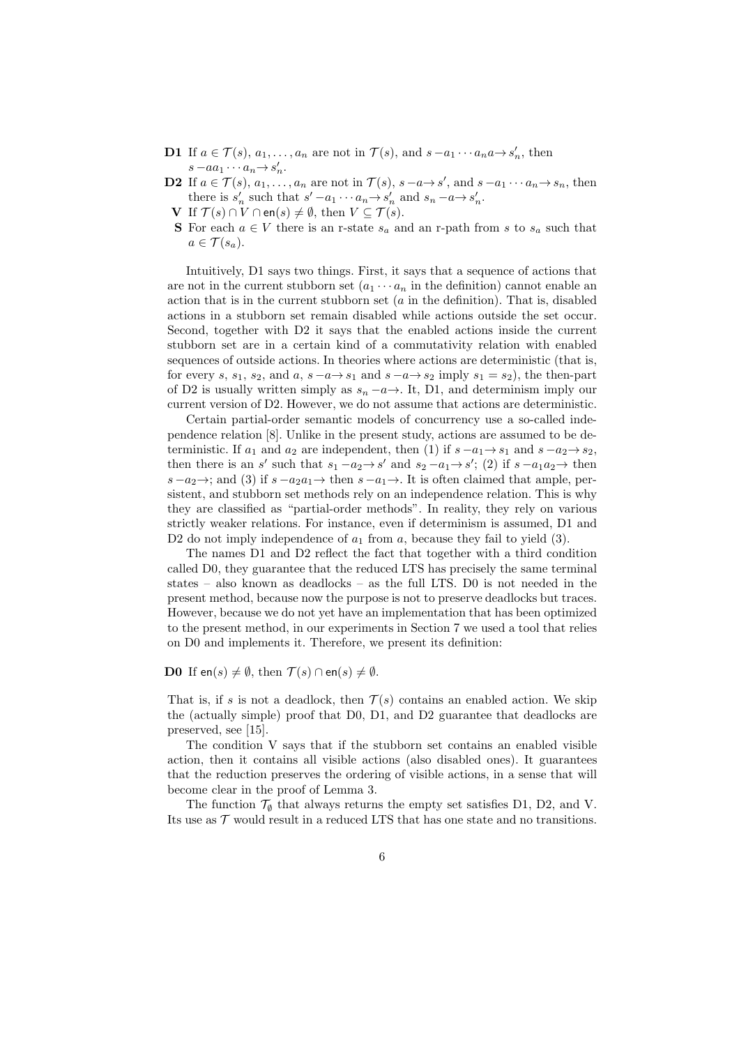- **D1** If  $a \in \mathcal{T}(s), a_1, \ldots, a_n$  are not in  $\mathcal{T}(s)$ , and  $s a_1 \cdots a_n a \rightarrow s'_n$ , then  $s - aa_1 \cdots a_n \rightarrow s'_n.$
- **D2** If  $a \in \mathcal{T}(s), a_1, \ldots, a_n$  are not in  $\mathcal{T}(s), s a \rightarrow s'$ , and  $s a_1 \cdots a_n \rightarrow s_n$ , then there is  $s'_n$  such that  $s' - a_1 \cdots a_n \rightarrow s'_n$  and  $s_n - a \rightarrow s'_n$ .
- V If  $\mathcal{T}(s) \cap V \cap \text{en}(s) \neq \emptyset$ , then  $V \subseteq \mathcal{T}(s)$ .
- S For each  $a \in V$  there is an r-state  $s_a$  and an r-path from s to  $s_a$  such that  $a \in \mathcal{T}(s_a)$ .

Intuitively, D1 says two things. First, it says that a sequence of actions that are not in the current stubborn set  $(a_1 \cdots a_n)$  in the definition) cannot enable an action that is in the current stubborn set  $(a$  in the definition). That is, disabled actions in a stubborn set remain disabled while actions outside the set occur. Second, together with D2 it says that the enabled actions inside the current stubborn set are in a certain kind of a commutativity relation with enabled sequences of outside actions. In theories where actions are deterministic (that is, for every s, s<sub>1</sub>, s<sub>2</sub>, and a, s –a→ s<sub>1</sub> and s –a→ s<sub>2</sub> imply s<sub>1</sub> = s<sub>2</sub>), the then-part of D2 is usually written simply as  $s_n - a \rightarrow$ . It, D1, and determinism imply our current version of D2. However, we do not assume that actions are deterministic.

Certain partial-order semantic models of concurrency use a so-called independence relation [8]. Unlike in the present study, actions are assumed to be deterministic. If  $a_1$  and  $a_2$  are independent, then (1) if  $s - a_1 \rightarrow s_1$  and  $s - a_2 \rightarrow s_2$ , then there is an s' such that  $s_1 - a_2 \rightarrow s'$  and  $s_2 - a_1 \rightarrow s'$ ; (2) if  $s - a_1 a_2 \rightarrow$  then  $s-a_2\rightarrow$ ; and (3) if  $s-a_2a_1\rightarrow$  then  $s-a_1\rightarrow$ . It is often claimed that ample, persistent, and stubborn set methods rely on an independence relation. This is why they are classified as "partial-order methods". In reality, they rely on various strictly weaker relations. For instance, even if determinism is assumed, D1 and D2 do not imply independence of  $a_1$  from a, because they fail to yield (3).

The names D1 and D2 reflect the fact that together with a third condition called D0, they guarantee that the reduced LTS has precisely the same terminal states – also known as deadlocks – as the full LTS. D0 is not needed in the present method, because now the purpose is not to preserve deadlocks but traces. However, because we do not yet have an implementation that has been optimized to the present method, in our experiments in Section 7 we used a tool that relies on D0 and implements it. Therefore, we present its definition:

**D0** If en(s)  $\neq \emptyset$ , then  $\mathcal{T}(s) \cap$  en(s)  $\neq \emptyset$ .

That is, if s is not a deadlock, then  $\mathcal{T}(s)$  contains an enabled action. We skip the (actually simple) proof that D0, D1, and D2 guarantee that deadlocks are preserved, see [15].

The condition V says that if the stubborn set contains an enabled visible action, then it contains all visible actions (also disabled ones). It guarantees that the reduction preserves the ordering of visible actions, in a sense that will become clear in the proof of Lemma 3.

The function  $\mathcal{T}_{\emptyset}$  that always returns the empty set satisfies D1, D2, and V. Its use as  ${\mathcal T}$  would result in a reduced LTS that has one state and no transitions.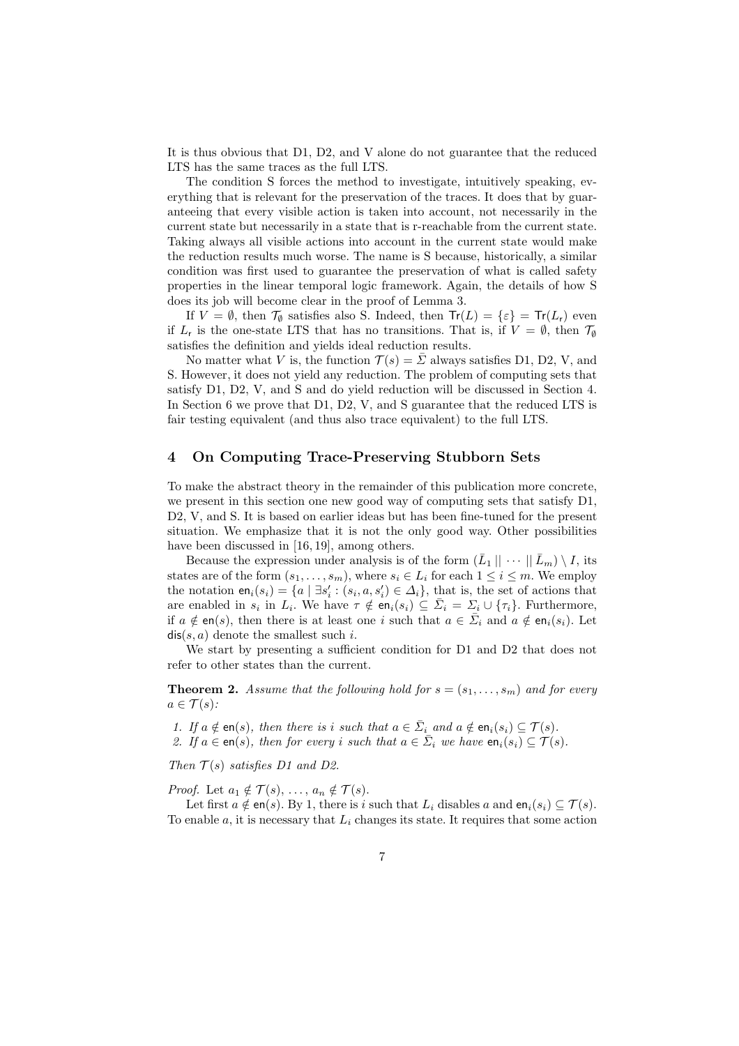It is thus obvious that D1, D2, and V alone do not guarantee that the reduced LTS has the same traces as the full LTS.

The condition S forces the method to investigate, intuitively speaking, everything that is relevant for the preservation of the traces. It does that by guaranteeing that every visible action is taken into account, not necessarily in the current state but necessarily in a state that is r-reachable from the current state. Taking always all visible actions into account in the current state would make the reduction results much worse. The name is S because, historically, a similar condition was first used to guarantee the preservation of what is called safety properties in the linear temporal logic framework. Again, the details of how S does its job will become clear in the proof of Lemma 3.

If  $V = \emptyset$ , then  $\mathcal{T}_{\emptyset}$  satisfies also S. Indeed, then  $Tr(L) = {\varepsilon} = Tr(L_r)$  even if  $L_r$  is the one-state LTS that has no transitions. That is, if  $V = \emptyset$ , then  $\mathcal{T}_{\emptyset}$ satisfies the definition and yields ideal reduction results.

No matter what V is, the function  $\mathcal{T}(s) = \overline{\Sigma}$  always satisfies D1, D2, V, and S. However, it does not yield any reduction. The problem of computing sets that satisfy D1, D2, V, and S and do yield reduction will be discussed in Section 4. In Section 6 we prove that D1, D2, V, and S guarantee that the reduced LTS is fair testing equivalent (and thus also trace equivalent) to the full LTS.

## 4 On Computing Trace-Preserving Stubborn Sets

To make the abstract theory in the remainder of this publication more concrete, we present in this section one new good way of computing sets that satisfy D1, D2, V, and S. It is based on earlier ideas but has been fine-tuned for the present situation. We emphasize that it is not the only good way. Other possibilities have been discussed in [16, 19], among others.

Because the expression under analysis is of the form  $(\bar{L}_1 \parallel \cdots \parallel \bar{L}_m) \setminus I$ , its states are of the form  $(s_1, \ldots, s_m)$ , where  $s_i \in L_i$  for each  $1 \leq i \leq m$ . We employ the notation  $en_i(s_i) = \{a \mid \exists s_i' : (s_i, a, s_i') \in \Delta_i\}$ , that is, the set of actions that are enabled in  $s_i$  in  $L_i$ . We have  $\tau \notin en_i(s_i) \subseteq \bar{\Sigma}_i = \Sigma_i \cup \{\tau_i\}$ . Furthermore, if  $a \notin en(s)$ , then there is at least one i such that  $a \in \overline{\Sigma}_i$  and  $a \notin en_i(s_i)$ . Let  $dis(s, a)$  denote the smallest such i.

We start by presenting a sufficient condition for D1 and D2 that does not refer to other states than the current.

**Theorem 2.** Assume that the following hold for  $s = (s_1, \ldots, s_m)$  and for every  $a \in \mathcal{T}(s)$ :

*1.* If  $a \notin en(s)$ , then there is i such that  $a \in \overline{\Sigma}_i$  and  $a \notin en_i(s_i) \subseteq \mathcal{T}(s)$ . 2. If  $a \in en(s)$ , then for every *i* such that  $a \in \overline{\Sigma}_i$  we have  $en_i(s_i) \subseteq \mathcal{T}(s)$ .

*Then*  $\mathcal{T}(s)$  *satisfies D1 and D2.* 

*Proof.* Let  $a_1 \notin \mathcal{T}(s), \ldots, a_n \notin \mathcal{T}(s)$ .

Let first  $a \notin en(s)$ . By 1, there is i such that  $L_i$  disables a and  $en_i(s_i) \subset \mathcal{T}(s)$ . To enable a, it is necessary that  $L_i$  changes its state. It requires that some action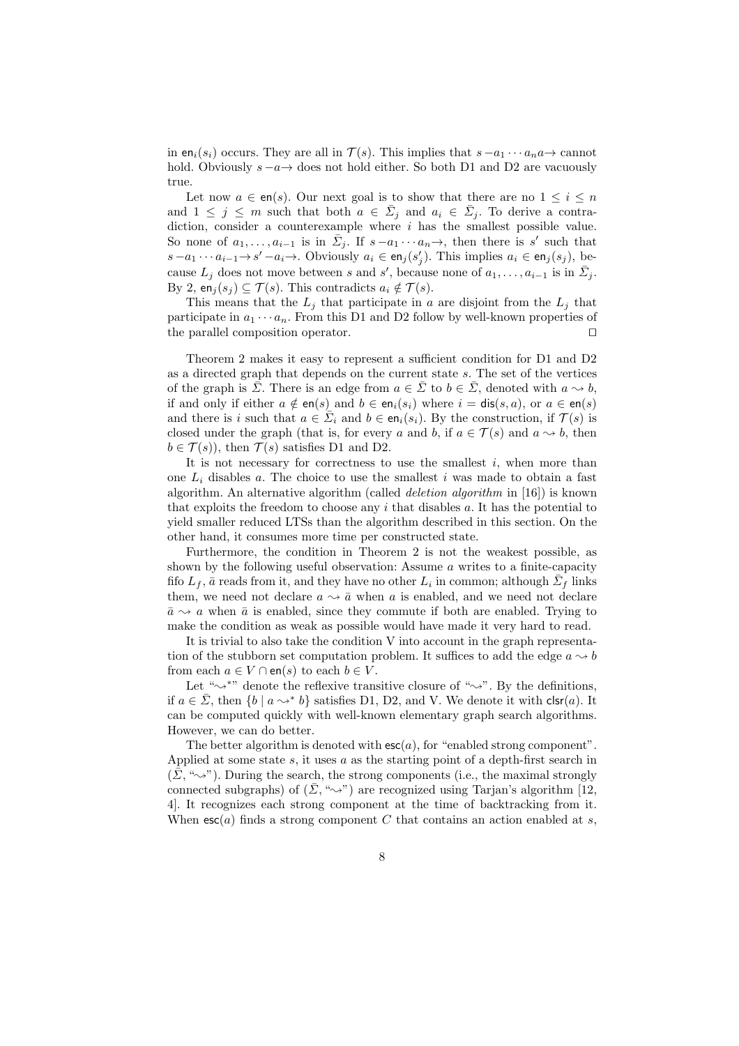in en<sub>i</sub>(s<sub>i</sub>) occurs. They are all in  $\mathcal{T}(s)$ . This implies that  $s - a_1 \cdots a_n a \rightarrow$  cannot hold. Obviously  $s - a \rightarrow$  does not hold either. So both D1 and D2 are vacuously true.

Let now  $a \in \text{en}(s)$ . Our next goal is to show that there are no  $1 \leq i \leq n$ and  $1 \leq j \leq m$  such that both  $a \in \overline{\Sigma}_j$  and  $a_i \in \overline{\Sigma}_j$ . To derive a contradiction, consider a counterexample where i has the smallest possible value. So none of  $a_1, \ldots, a_{i-1}$  is in  $\bar{\Sigma}_j$ . If  $s - a_1 \cdots a_n \rightarrow$ , then there is s' such that  $s-a_1\cdots a_{i-1}\rightarrow s'-a_i\rightarrow$ . Obviously  $a_i \in \text{en}_j(s'_j)$ . This implies  $a_i \in \text{en}_j(s_j)$ , because  $L_j$  does not move between s and s', because none of  $a_1, \ldots, a_{i-1}$  is in  $\bar{\Sigma}_j$ . By 2, en<sub>j</sub> $(s_i) \subseteq \mathcal{T}(s)$ . This contradicts  $a_i \notin \mathcal{T}(s)$ .

This means that the  $L_i$  that participate in a are disjoint from the  $L_i$  that participate in  $a_1 \cdots a_n$ . From this D1 and D2 follow by well-known properties of the parallel composition operator. □

Theorem 2 makes it easy to represent a sufficient condition for D1 and D2 as a directed graph that depends on the current state s. The set of the vertices of the graph is  $\bar{\Sigma}$ . There is an edge from  $a \in \bar{\Sigma}$  to  $b \in \bar{\Sigma}$ , denoted with  $a \rightsquigarrow b$ , if and only if either  $a \notin en(s)$  and  $b \in en_i(s_i)$  where  $i = dis(s, a)$ , or  $a \in en(s)$ and there is i such that  $a \in \overline{\Sigma}_i$  and  $b \in en_i(s_i)$ . By the construction, if  $\mathcal{T}(s)$  is closed under the graph (that is, for every a and b, if  $a \in \mathcal{T}(s)$  and  $a \rightsquigarrow b$ , then  $b \in \mathcal{T}(s)$ , then  $\mathcal{T}(s)$  satisfies D1 and D2.

It is not necessary for correctness to use the smallest  $i$ , when more than one  $L_i$  disables a. The choice to use the smallest i was made to obtain a fast algorithm. An alternative algorithm (called *deletion algorithm* in [16]) is known that exploits the freedom to choose any  $i$  that disables  $a$ . It has the potential to yield smaller reduced LTSs than the algorithm described in this section. On the other hand, it consumes more time per constructed state.

Furthermore, the condition in Theorem 2 is not the weakest possible, as shown by the following useful observation: Assume  $\alpha$  writes to a finite-capacity fifo  $L_f$ ,  $\bar{a}$  reads from it, and they have no other  $L_i$  in common; although  $\bar{\Sigma}_f$  links them, we need not declare  $a \rightarrow \overline{a}$  when a is enabled, and we need not declare  $\bar{a} \rightarrow a$  when  $\bar{a}$  is enabled, since they commute if both are enabled. Trying to make the condition as weak as possible would have made it very hard to read.

It is trivial to also take the condition V into account in the graph representation of the stubborn set computation problem. It suffices to add the edge  $a \rightarrow b$ from each  $a \in V \cap en(s)$  to each  $b \in V$ .

Let " $\rightsquigarrow$ "" denote the reflexive transitive closure of " $\rightsquigarrow$ ". By the definitions, if  $a \in \overline{\Sigma}$ , then  $\{b \mid a \leadsto^* b\}$  satisfies D1, D2, and V. We denote it with  $\textsf{clsr}(a)$ . It can be computed quickly with well-known elementary graph search algorithms. However, we can do better.

The better algorithm is denoted with  $\mathsf{esc}(a)$ , for "enabled strong component". Applied at some state  $s$ , it uses  $a$  as the starting point of a depth-first search in  $(\bar{\Sigma}, \llcorner \leadsto \llcorner)$ . During the search, the strong components (i.e., the maximal strongly connected subgraphs) of  $(\bar{\Sigma}, \llbracket \sim \rangle)$  are recognized using Tarjan's algorithm [12, 4]. It recognizes each strong component at the time of backtracking from it. When  $\csc(a)$  finds a strong component C that contains an action enabled at s,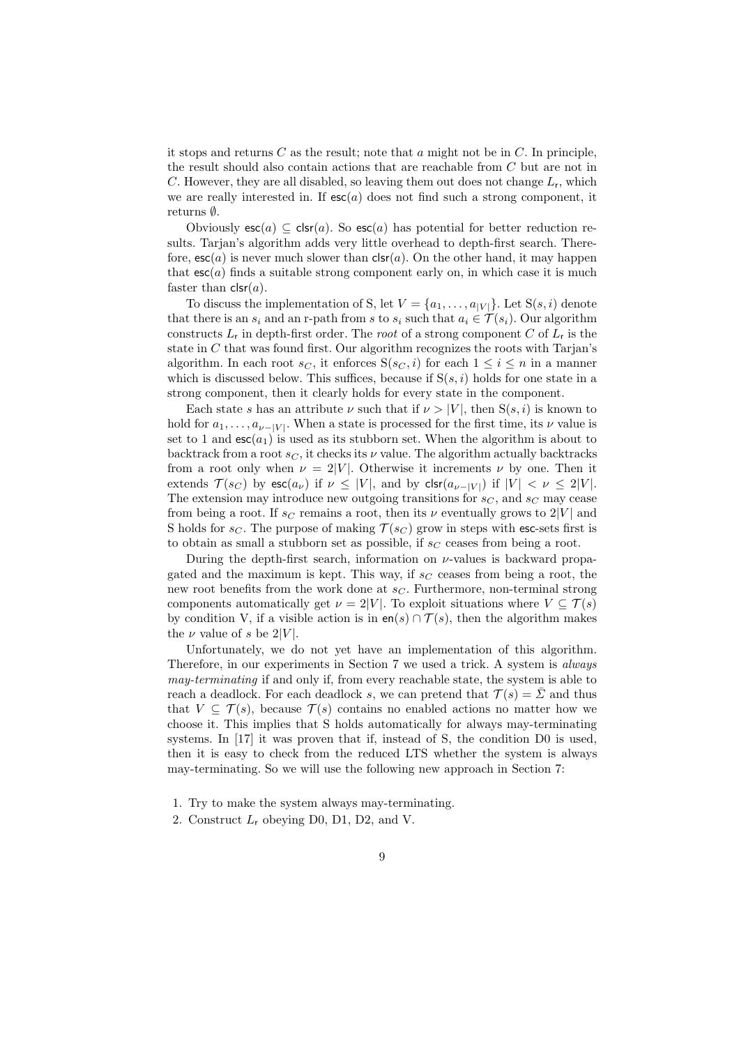it stops and returns  $C$  as the result; note that  $a$  might not be in  $C$ . In principle, the result should also contain actions that are reachable from C but are not in C. However, they are all disabled, so leaving them out does not change  $L_r$ , which we are really interested in. If  $\mathsf{esc}(a)$  does not find such a strong component, it returns ∅.

Obviously  $\mathsf{esc}(a) \subseteq \mathsf{clsr}(a)$ . So  $\mathsf{esc}(a)$  has potential for better reduction results. Tarjan's algorithm adds very little overhead to depth-first search. Therefore,  $\sec(a)$  is never much slower than  $\csc(a)$ . On the other hand, it may happen that  $\csc(a)$  finds a suitable strong component early on, in which case it is much faster than  $\textsf{clsr}(a)$ .

To discuss the implementation of S, let  $V = \{a_1, \ldots, a_{|V|}\}\.$  Let  $S(s, i)$  denote that there is an  $s_i$  and an r-path from s to  $s_i$  such that  $a_i \in \mathcal{T}(s_i)$ . Our algorithm constructs  $L_r$  in depth-first order. The *root* of a strong component  $C$  of  $L_r$  is the state in  $C$  that was found first. Our algorithm recognizes the roots with Tarjan's algorithm. In each root  $s_C$ , it enforces  $S(s_C, i)$  for each  $1 \leq i \leq n$  in a manner which is discussed below. This suffices, because if  $S(s, i)$  holds for one state in a strong component, then it clearly holds for every state in the component.

Each state s has an attribute  $\nu$  such that if  $\nu > |V|$ , then  $S(s, i)$  is known to hold for  $a_1, \ldots, a_{\nu-|V|}$ . When a state is processed for the first time, its  $\nu$  value is set to 1 and  $\sec(a_1)$  is used as its stubborn set. When the algorithm is about to backtrack from a root  $s_C$ , it checks its  $\nu$  value. The algorithm actually backtracks from a root only when  $\nu = 2|V|$ . Otherwise it increments  $\nu$  by one. Then it extends  $\mathcal{T}(s_C)$  by  $\mathsf{esc}(a_{\nu})$  if  $\nu \leq |V|$ , and by  $\mathsf{clsr}(a_{\nu-|V|})$  if  $|V| < \nu \leq 2|V|$ . The extension may introduce new outgoing transitions for  $s_C$ , and  $s_C$  may cease from being a root. If  $s_C$  remains a root, then its  $\nu$  eventually grows to  $2|V|$  and S holds for  $s_C$ . The purpose of making  $\mathcal{T}(s_C)$  grow in steps with esc-sets first is to obtain as small a stubborn set as possible, if  $s<sub>C</sub>$  ceases from being a root.

During the depth-first search, information on  $\nu$ -values is backward propagated and the maximum is kept. This way, if  $s<sub>C</sub>$  ceases from being a root, the new root benefits from the work done at  $s<sub>C</sub>$ . Furthermore, non-terminal strong components automatically get  $\nu = 2|V|$ . To exploit situations where  $V \subseteq \mathcal{T}(s)$ by condition V, if a visible action is in  $en(s) \cap T(s)$ , then the algorithm makes the  $\nu$  value of s be 2|V|.

Unfortunately, we do not yet have an implementation of this algorithm. Therefore, in our experiments in Section 7 we used a trick. A system is *always may-terminating* if and only if, from every reachable state, the system is able to reach a deadlock. For each deadlock s, we can pretend that  $\mathcal{T}(s) = \overline{\Sigma}$  and thus that  $V \subseteq \mathcal{T}(s)$ , because  $\mathcal{T}(s)$  contains no enabled actions no matter how we choose it. This implies that S holds automatically for always may-terminating systems. In [17] it was proven that if, instead of S, the condition D0 is used, then it is easy to check from the reduced LTS whether the system is always may-terminating. So we will use the following new approach in Section 7:

<sup>1.</sup> Try to make the system always may-terminating.

<sup>2.</sup> Construct  $L_r$  obeying D0, D1, D2, and V.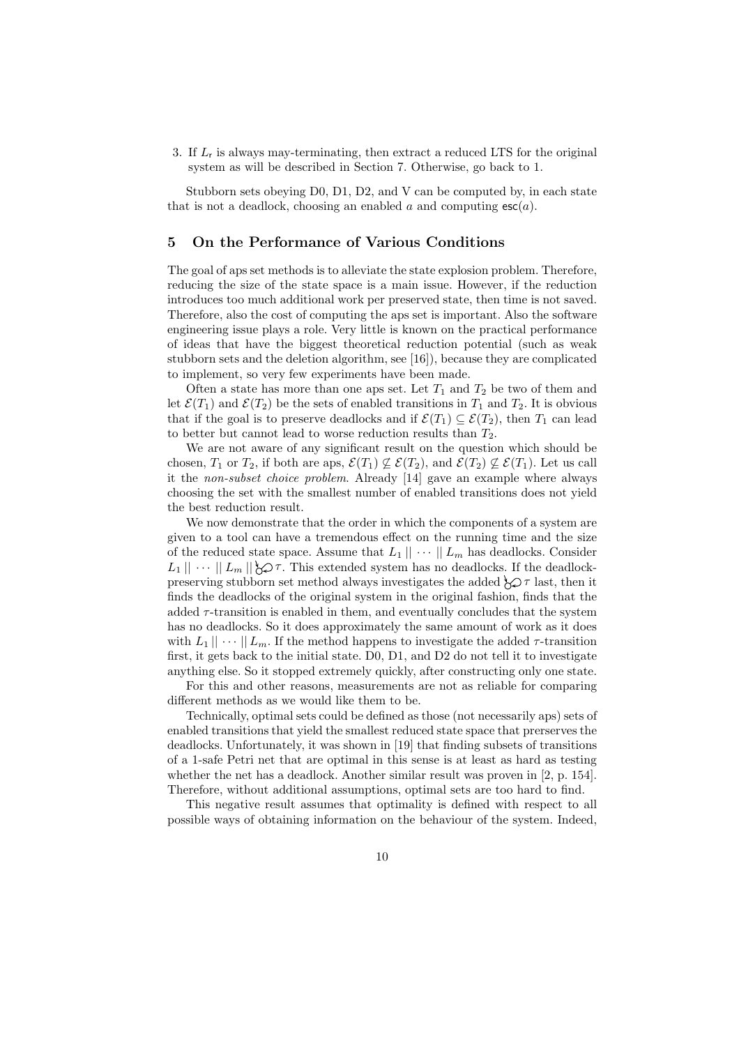3. If  $L_r$  is always may-terminating, then extract a reduced LTS for the original system as will be described in Section 7. Otherwise, go back to 1.

Stubborn sets obeying D0, D1, D2, and V can be computed by, in each state that is not a deadlock, choosing an enabled a and computing  $\csc(a)$ .

# 5 On the Performance of Various Conditions

The goal of aps set methods is to alleviate the state explosion problem. Therefore, reducing the size of the state space is a main issue. However, if the reduction introduces too much additional work per preserved state, then time is not saved. Therefore, also the cost of computing the aps set is important. Also the software engineering issue plays a role. Very little is known on the practical performance of ideas that have the biggest theoretical reduction potential (such as weak stubborn sets and the deletion algorithm, see [16]), because they are complicated to implement, so very few experiments have been made.

Often a state has more than one aps set. Let  $T_1$  and  $T_2$  be two of them and let  $\mathcal{E}(T_1)$  and  $\mathcal{E}(T_2)$  be the sets of enabled transitions in  $T_1$  and  $T_2$ . It is obvious that if the goal is to preserve deadlocks and if  $\mathcal{E}(T_1) \subseteq \mathcal{E}(T_2)$ , then  $T_1$  can lead to better but cannot lead to worse reduction results than  $T_2$ .

We are not aware of any significant result on the question which should be chosen,  $T_1$  or  $T_2$ , if both are aps,  $\mathcal{E}(T_1) \not\subseteq \mathcal{E}(T_2)$ , and  $\mathcal{E}(T_2) \not\subseteq \mathcal{E}(T_1)$ . Let us call it the *non-subset choice problem*. Already [14] gave an example where always choosing the set with the smallest number of enabled transitions does not yield the best reduction result.

We now demonstrate that the order in which the components of a system are given to a tool can have a tremendous effect on the running time and the size of the reduced state space. Assume that  $L_1 || \cdots || L_m$  has deadlocks. Consider  $L_1 || \cdots || L_m ||_{\infty}$   $\sim$  This extended system has no deadlocks. If the deadlockpreserving stubborn set method always investigates the added  $\Diamond \varphi \tau$  last, then it finds the deadlocks of the original system in the original fashion, finds that the added  $\tau$ -transition is enabled in them, and eventually concludes that the system has no deadlocks. So it does approximately the same amount of work as it does with  $L_1 || \cdots || L_m$ . If the method happens to investigate the added  $\tau$ -transition first, it gets back to the initial state. D0, D1, and D2 do not tell it to investigate anything else. So it stopped extremely quickly, after constructing only one state.

For this and other reasons, measurements are not as reliable for comparing different methods as we would like them to be.

Technically, optimal sets could be defined as those (not necessarily aps) sets of enabled transitions that yield the smallest reduced state space that prerserves the deadlocks. Unfortunately, it was shown in [19] that finding subsets of transitions of a 1-safe Petri net that are optimal in this sense is at least as hard as testing whether the net has a deadlock. Another similar result was proven in [2, p. 154]. Therefore, without additional assumptions, optimal sets are too hard to find.

This negative result assumes that optimality is defined with respect to all possible ways of obtaining information on the behaviour of the system. Indeed,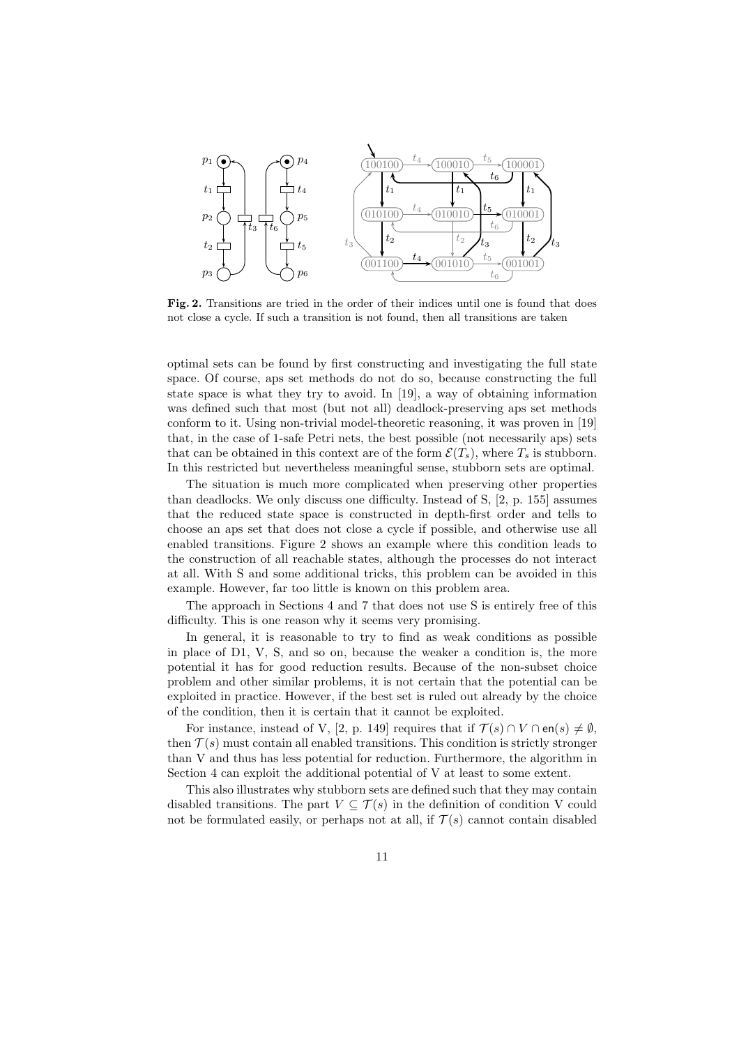

Fig. 2. Transitions are tried in the order of their indices until one is found that does not close a cycle. If such a transition is not found, then all transitions are taken

optimal sets can be found by first constructing and investigating the full state space. Of course, aps set methods do not do so, because constructing the full state space is what they try to avoid. In [19], a way of obtaining information was defined such that most (but not all) deadlock-preserving aps set methods conform to it. Using non-trivial model-theoretic reasoning, it was proven in [19] that, in the case of 1-safe Petri nets, the best possible (not necessarily aps) sets that can be obtained in this context are of the form  $\mathcal{E}(T_s)$ , where  $T_s$  is stubborn. In this restricted but nevertheless meaningful sense, stubborn sets are optimal.

The situation is much more complicated when preserving other properties than deadlocks. We only discuss one difficulty. Instead of S, [2, p. 155] assumes that the reduced state space is constructed in depth-first order and tells to choose an aps set that does not close a cycle if possible, and otherwise use all enabled transitions. Figure 2 shows an example where this condition leads to the construction of all reachable states, although the processes do not interact at all. With S and some additional tricks, this problem can be avoided in this example. However, far too little is known on this problem area.

The approach in Sections 4 and 7 that does not use S is entirely free of this difficulty. This is one reason why it seems very promising.

In general, it is reasonable to try to find as weak conditions as possible in place of D1, V, S, and so on, because the weaker a condition is, the more potential it has for good reduction results. Because of the non-subset choice problem and other similar problems, it is not certain that the potential can be exploited in practice. However, if the best set is ruled out already by the choice of the condition, then it is certain that it cannot be exploited.

For instance, instead of V, [2, p. 149] requires that if  $\mathcal{T}(s) \cap V \cap en(s) \neq \emptyset$ . then  $\mathcal{T}(s)$  must contain all enabled transitions. This condition is strictly stronger than V and thus has less potential for reduction. Furthermore, the algorithm in Section 4 can exploit the additional potential of V at least to some extent.

This also illustrates why stubborn sets are defined such that they may contain disabled transitions. The part  $V \subset \mathcal{T}(s)$  in the definition of condition V could not be formulated easily, or perhaps not at all, if  $\mathcal{T}(s)$  cannot contain disabled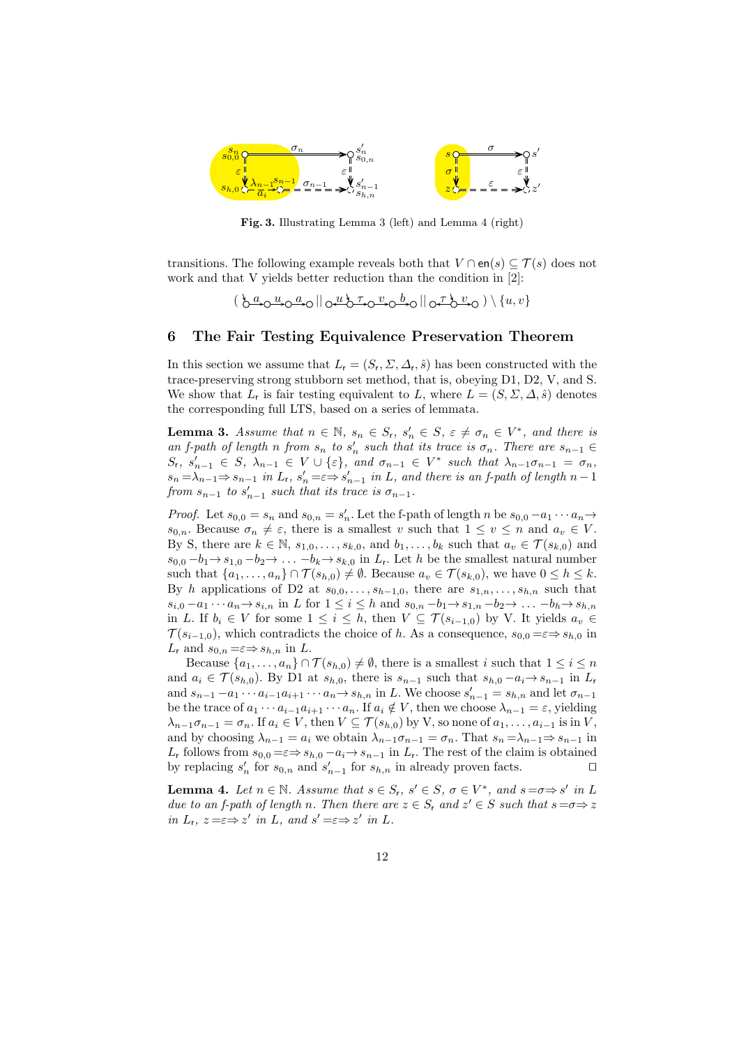

Fig. 3. Illustrating Lemma 3 (left) and Lemma 4 (right)

transitions. The following example reveals both that  $V \cap en(s) \subseteq T(s)$  does not work and that V yields better reduction than the condition in [2]:

$$
(\mathcal{A}_{\mathcal{A}}\mathcal{A}_{\mathcal{A}}\mathcal{A}_{\mathcal{A}}\mathcal{A}_{\mathcal{A}}\|_{\mathcal{A}}\mathcal{A}_{\mathcal{A}}\mathcal{A}_{\mathcal{A}}\mathcal{A}_{\mathcal{A}}\mathcal{A}_{\mathcal{A}}\mathcal{A}_{\mathcal{A}}\|_{\mathcal{A}}\mathcal{A}_{\mathcal{A}}\|_{\mathcal{A}}\mathcal{A}_{\mathcal{A}}\|_{\mathcal{A}}\|_{\mathcal{A}}\|_{\mathcal{A}}\|_{\mathcal{A}}\|_{\mathcal{A}}\|_{\mathcal{A}}\|_{\mathcal{A}}\|_{\mathcal{A}}\|_{\mathcal{A}}\|_{\mathcal{A}}\|_{\mathcal{A}}\|_{\mathcal{A}}\|_{\mathcal{A}}\|_{\mathcal{A}}\|_{\mathcal{A}}\|_{\mathcal{A}}\|_{\mathcal{A}}\|_{\mathcal{A}}\|_{\mathcal{A}}\|_{\mathcal{A}}\|_{\mathcal{A}}\|_{\mathcal{A}}\|_{\mathcal{A}}\|_{\mathcal{A}}\|_{\mathcal{A}}\|_{\mathcal{A}}\|_{\mathcal{A}}\|_{\mathcal{A}}\|_{\mathcal{A}}\|_{\mathcal{A}}\|_{\mathcal{A}}\|_{\mathcal{A}}\|_{\mathcal{A}}\|_{\mathcal{A}}\|_{\mathcal{A}}\|_{\mathcal{A}}\|_{\mathcal{A}}\|_{\mathcal{A}}\|_{\mathcal{A}}\|_{\mathcal{A}}\|_{\mathcal{A}}\|_{\mathcal{A}}\|_{\mathcal{A}}\|_{\mathcal{A}}\|_{\mathcal{A}}\|_{\mathcal{A}}\|_{\mathcal{A}}\|_{\mathcal{A}}\|_{\mathcal{A}}\|_{\mathcal{A}}\|_{\mathcal{A}}\|_{\mathcal{A}}\|_{\mathcal{A}}\|_{\mathcal{A}}\|_{\mathcal{A}}\|_{\mathcal{A}}\|_{\mathcal{A}}\|_{\mathcal{A}}\|_{\mathcal{A}}\|_{\mathcal{A}}\|_{\mathcal{A}}\|_{\mathcal{A}}\|_{\mathcal{A}}\|_{\mathcal{A}}\|_{\mathcal{A}}\|_{\mathcal{A}}\|_{\mathcal
$$

### 6 The Fair Testing Equivalence Preservation Theorem

In this section we assume that  $L_{r} = (S_{r}, \Sigma, \Delta_{r}, \hat{s})$  has been constructed with the trace-preserving strong stubborn set method, that is, obeying D1, D2, V, and S. We show that  $L_r$  is fair testing equivalent to L, where  $L = (S, \Sigma, \Delta, \hat{s})$  denotes the corresponding full LTS, based on a series of lemmata.

**Lemma 3.** *Assume that*  $n \in \mathbb{N}$ *,*  $s_n \in S_r$ *,*  $s'_n \in S$ *,*  $\varepsilon \neq \sigma_n \in V^*$ *, and there is an f-path of length n from*  $s_n$  *to*  $s'_n$  *such that its trace is*  $\sigma_n$ *. There are*  $s_{n-1} \in$  $S_r$ ,  $s'_{n-1} \in S$ ,  $\lambda_{n-1} \in V \cup \{\varepsilon\}$ , and  $\sigma_{n-1} \in V^*$  such that  $\lambda_{n-1}\sigma_{n-1} = \sigma_n$ ,  $s_n = \lambda_{n-1} \Rightarrow s_{n-1}$  in  $L_r$ ,  $s'_n = \varepsilon \Rightarrow s'_{n-1}$  in  $L$ , and there is an f-path of length  $n-1$ *from*  $s_{n-1}$  *to*  $s'_{n-1}$  *such that its trace is*  $\sigma_{n-1}$ *.* 

*Proof.* Let  $s_{0,0} = s_n$  and  $s_{0,n} = s'_n$ . Let the f-path of length n be  $s_{0,0} - a_1 \cdots a_n$  $s_{0,n}$ . Because  $\sigma_n \neq \varepsilon$ , there is a smallest v such that  $1 \leq v \leq n$  and  $a_v \in V$ . By S, there are  $k \in \mathbb{N}$ ,  $s_{1,0}, \ldots, s_{k,0}$ , and  $b_1, \ldots, b_k$  such that  $a_v \in \mathcal{T}(s_{k,0})$  and  $s_{0,0}$  –  $b_1 \rightarrow s_{1,0}$  –  $b_2 \rightarrow \ldots$  –  $b_k \rightarrow s_{k,0}$  in  $L_r$ . Let h be the smallest natural number such that  $\{a_1, \ldots, a_n\} \cap \mathcal{T}(s_{h,0}) \neq \emptyset$ . Because  $a_v \in \mathcal{T}(s_{k,0})$ , we have  $0 \leq h \leq k$ . By h applications of D2 at  $s_{0,0}, \ldots, s_{h-1,0}$ , there are  $s_{1,n}, \ldots, s_{h,n}$  such that  $s_{i,0} - a_1 \cdots a_n \to s_{i,n}$  in L for  $1 \leq i \leq h$  and  $s_{0,n} - b_1 \to s_{1,n} - b_2 \to \ldots - b_h \to s_{h,n}$ in L. If  $b_i \in V$  for some  $1 \leq i \leq h$ , then  $V \subseteq \mathcal{T}(s_{i-1,0})$  by V. It yields  $a_v \in$  $\mathcal{T}(s_{i-1,0})$ , which contradicts the choice of h. As a consequence,  $s_{0,0} = \epsilon \Rightarrow s_{h,0}$  in  $L_r$  and  $s_{0,n} = \varepsilon \Rightarrow s_{h,n}$  in  $L$ .

Because  $\{a_1, \ldots, a_n\} \cap \mathcal{T}(s_{h,0}) \neq \emptyset$ , there is a smallest i such that  $1 \leq i \leq n$ and  $a_i \in \mathcal{T}(s_{h,0})$ . By D1 at  $s_{h,0}$ , there is  $s_{n-1}$  such that  $s_{h,0} - a_i \rightarrow s_{n-1}$  in  $L_r$ and  $s_{n-1} - a_1 \cdots a_{i-1} a_{i+1} \cdots a_n \rightarrow s_{h,n}$  in L. We choose  $s'_{n-1} = s_{h,n}$  and let  $\sigma_{n-1}$ be the trace of  $a_1 \cdots a_{i-1} a_{i+1} \cdots a_n$ . If  $a_i \notin V$ , then we choose  $\lambda_{n-1} = \varepsilon$ , yielding  $\lambda_{n-1}\sigma_{n-1} = \sigma_n$ . If  $a_i \in V$ , then  $V \subseteq \mathcal{T}(s_{h,0})$  by V, so none of  $a_1, \ldots, a_{i-1}$  is in V, and by choosing  $\lambda_{n-1} = a_i$  we obtain  $\lambda_{n-1} \sigma_{n-1} = \sigma_n$ . That  $s_n = \lambda_{n-1} \Rightarrow s_{n-1}$  in  $L_r$  follows from  $s_{0,0} = \varepsilon \Rightarrow s_{h,0} - a_i \to s_{n-1}$  in  $L_r$ . The rest of the claim is obtained by replacing  $s'_n$  for  $s_{0,n}$  and  $s'_{n-1}$  for  $s_{h,n}$  in already proven facts.  $\Box$ 

**Lemma 4.** Let  $n \in \mathbb{N}$ . Assume that  $s \in S_r$ ,  $s' \in S$ ,  $\sigma \in V^*$ , and  $s = \sigma \Rightarrow s'$  in L *due to an f-path of length* n. Then there are  $z \in S_r$  and  $z' \in S$  such that  $s = \sigma \Rightarrow z$  $in L_r$ ,  $z = \epsilon \Rightarrow z'$  *in*  $L$ , and  $s' = \epsilon \Rightarrow z'$  *in*  $L$ .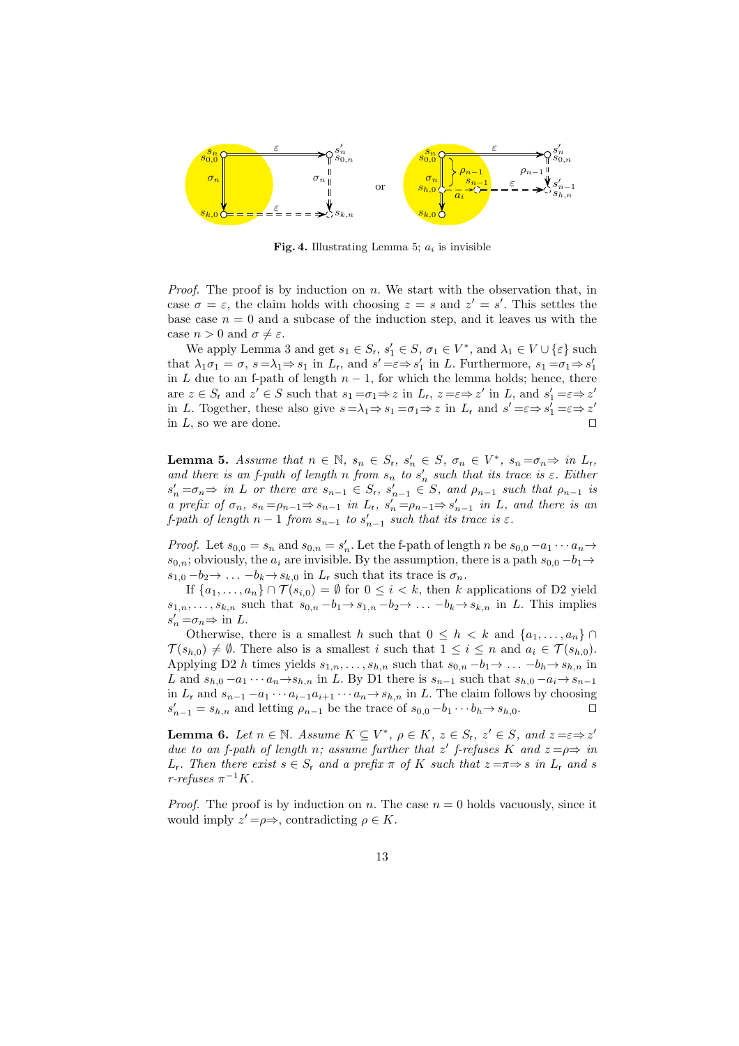

Fig. 4. Illustrating Lemma 5;  $a_i$  is invisible

*Proof.* The proof is by induction on n. We start with the observation that, in case  $\sigma = \varepsilon$ , the claim holds with choosing  $z = s$  and  $z' = s'$ . This settles the base case  $n = 0$  and a subcase of the induction step, and it leaves us with the case  $n > 0$  and  $\sigma \neq \varepsilon$ .

We apply Lemma 3 and get  $s_1 \in S_r$ ,  $s'_1 \in S$ ,  $\sigma_1 \in V^*$ , and  $\lambda_1 \in V \cup \{\varepsilon\}$  such that  $\lambda_1 \sigma_1 = \sigma$ ,  $s = \lambda_1 \Rightarrow s_1$  in  $L_r$ , and  $s' = \varepsilon \Rightarrow s'_1$  in L. Furthermore,  $s_1 = \sigma_1 \Rightarrow s'_1$ in L due to an f-path of length  $n-1$ , for which the lemma holds; hence, there are  $z \in S_r$  and  $z' \in S$  such that  $s_1 = \sigma_1 \Rightarrow z$  in  $L_r$ ,  $z = \varepsilon \Rightarrow z'$  in  $L$ , and  $s'_1 = \varepsilon \Rightarrow z'$ in L. Together, these also give  $s = \lambda_1 \Rightarrow s_1 = \sigma_1 \Rightarrow z$  in  $L_r$  and  $s' = \varepsilon \Rightarrow s'_1 = \varepsilon \Rightarrow z'$ in  $L$ , so we are done.  $□$ 

**Lemma 5.** *Assume that*  $n \in \mathbb{N}$ ,  $s_n \in S_r$ ,  $s'_n \in S$ ,  $\sigma_n \in V^*$ ,  $s_n = \sigma_n \Rightarrow in \ L_r$ , *and there is an f-path of length* n *from*  $s_n$  *to*  $s'_n$  *such that its trace is*  $\varepsilon$ *. Either*  $s'_n = \sigma_n \Rightarrow$  in L or there are  $s_{n-1} \in S_r$ ,  $s'_{n-1} \in S$ , and  $\rho_{n-1}$  such that  $\rho_{n-1}$  is *a* prefix of  $\sigma_n$ ,  $s_n = \rho_{n-1} \Rightarrow s_{n-1}$  in  $L_r$ ,  $s'_n = \rho_{n-1} \Rightarrow s'_{n-1}$  in  $L$ , and there is an *f-path of length*  $n-1$  *from*  $s_{n-1}$  *to*  $s'_{n-1}$  *such that its trace is*  $\varepsilon$ *.* 

*Proof.* Let  $s_{0,0} = s_n$  and  $s_{0,n} = s'_n$ . Let the f-path of length n be  $s_{0,0} - a_1 \cdots a_n$  $s_{0,n}$ ; obviously, the  $a_i$  are invisible. By the assumption, there is a path  $s_{0,0} - b_1 \rightarrow$  $s_{1,0}$  –  $b_2 \rightarrow \ldots$  –  $b_k \rightarrow s_{k,0}$  in  $L_r$  such that its trace is  $\sigma_n$ .

If  $\{a_1, \ldots, a_n\} \cap \mathcal{T}(s_{i,0}) = \emptyset$  for  $0 \leq i \leq k$ , then k applications of D2 yield  $s_{1,n},\ldots,s_{k,n}$  such that  $s_{0,n}-b_1\rightarrow s_{1,n}-b_2\rightarrow\ldots-b_k\rightarrow s_{k,n}$  in L. This implies  $s'_n = \sigma_n \Rightarrow \text{in } L.$ 

Otherwise, there is a smallest h such that  $0 \leq h \leq k$  and  $\{a_1, \ldots, a_n\}$  $\mathcal{T}(s_{h,0}) \neq \emptyset$ . There also is a smallest i such that  $1 \leq i \leq n$  and  $a_i \in \mathcal{T}(s_{h,0})$ . Applying D2 h times yields  $s_{1,n}, \ldots, s_{h,n}$  such that  $s_{0,n} - b_1 \rightarrow \ldots - b_h \rightarrow s_{h,n}$  in L and  $s_{h,0} - a_1 \cdots a_n \rightarrow s_{h,n}$  in L. By D1 there is  $s_{n-1}$  such that  $s_{h,0} - a_i \rightarrow s_{n-1}$ in  $L_r$  and  $s_{n-1} - a_1 \cdots a_{i-1} a_{i+1} \cdots a_n \rightarrow s_{h,n}$  in L. The claim follows by choosing  $s'_{n-1} = s_{h,n}$  and letting  $\rho_{n-1}$  be the trace of  $s_{0,0} - b_1 \cdots b_h \rightarrow s_{h,0}$ . □

**Lemma 6.** Let  $n \in \mathbb{N}$ . Assume  $K \subseteq V^*$ ,  $\rho \in K$ ,  $z \in S_r$ ,  $z' \in S$ , and  $z = \varepsilon \Rightarrow z'$ *due to an f-path of length n; assume further that*  $z'$  *f-refuses* K and  $z = \rho \Rightarrow in$  $L_r$ . Then there exist  $s \in S_r$  and a prefix  $\pi$  of K such that  $z = \pi \Rightarrow s$  in  $L_r$  and s  $r$ -refuses  $\pi^{-1}K$ .

*Proof.* The proof is by induction on n. The case  $n = 0$  holds vacuously, since it would imply  $z' = \rho \Rightarrow$ , contradicting  $\rho \in K$ .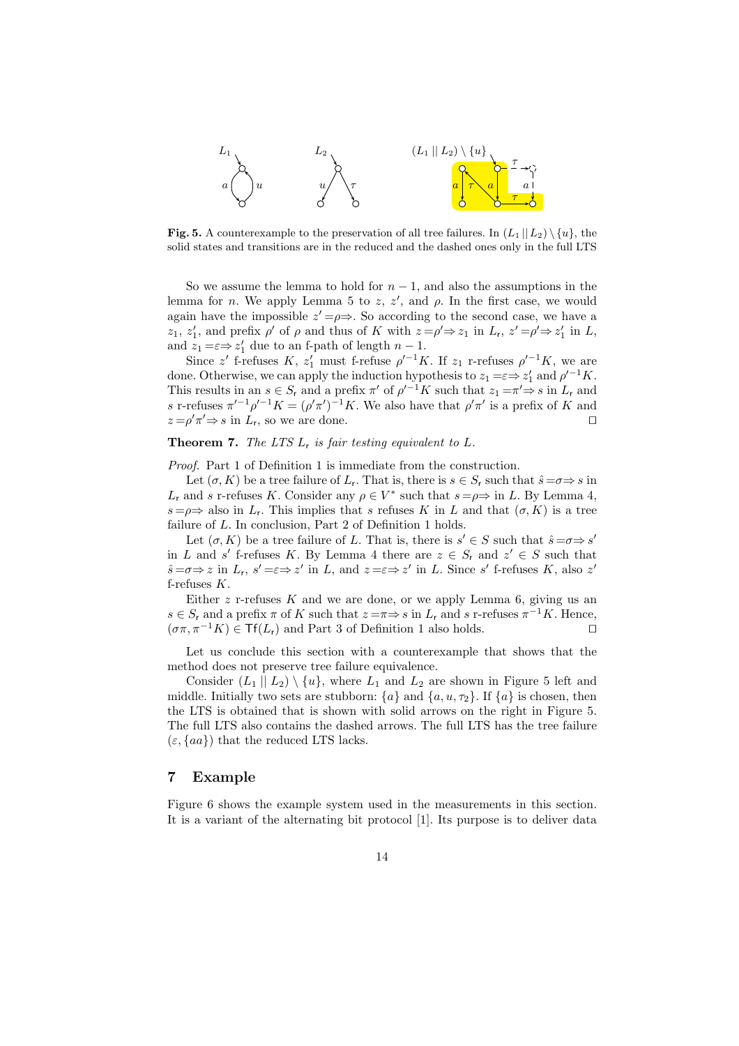

**Fig. 5.** A counterexample to the preservation of all tree failures. In  $(L_1 || L_2) \setminus \{u\}$ , the solid states and transitions are in the reduced and the dashed ones only in the full LTS

So we assume the lemma to hold for  $n-1$ , and also the assumptions in the lemma for *n*. We apply Lemma 5 to  $z$ ,  $z'$ , and  $\rho$ . In the first case, we would again have the impossible  $z' = \rho \Rightarrow$ . So according to the second case, we have a z<sub>1</sub>, z'<sub>1</sub>, and prefix  $\rho'$  of  $\rho$  and thus of K with  $z = \rho' \Rightarrow z_1$  in  $L_r$ ,  $z' = \rho' \Rightarrow z'_1$  in L, and  $z_1 = \varepsilon \Rightarrow z'_1$  due to an f-path of length  $n - 1$ .

Since z' f-refuses K,  $z'_1$  must f-refuse  $\rho'^{-1}K$ . If  $z_1$  r-refuses  $\rho'^{-1}K$ , we are done. Otherwise, we can apply the induction hypothesis to  $z_1 = \varepsilon \Rightarrow z'_1$  and  $\rho'^{-1}K$ . This results in an  $s \in S_r$  and a prefix  $\pi'$  of  $\rho'^{-1}K$  such that  $z_1 = \pi' \Rightarrow s$  in  $L_r$  and s r-refuses  $\pi'^{-1}\rho'^{-1}K = (\rho'\pi')^{-1}K$ . We also have that  $\rho'\pi'$  is a prefix of K and  $z = \rho' \pi' \Rightarrow s$  in  $L_r$ , so we are done. □

#### Theorem 7. *The LTS* L<sup>r</sup> *is fair testing equivalent to* L*.*

*Proof.* Part 1 of Definition 1 is immediate from the construction.

Let  $(\sigma, K)$  be a tree failure of  $L_r$ . That is, there is  $s \in S_r$  such that  $\hat{s} = \sigma \Rightarrow s$  in  $L_r$  and s r-refuses K. Consider any  $\rho \in V^*$  such that  $s = \rho \Rightarrow$  in L. By Lemma 4,  $s = \rho \Rightarrow$  also in  $L_r$ . This implies that s refuses K in L and that  $(\sigma, K)$  is a tree failure of L. In conclusion, Part 2 of Definition 1 holds.

Let  $(\sigma, K)$  be a tree failure of L. That is, there is  $s' \in S$  such that  $\hat{s} = \sigma \Rightarrow s'$ in L and s' f-refuses K. By Lemma 4 there are  $z \in S_r$  and  $z' \in S$  such that  $\hat{s} = \sigma \Rightarrow z$  in  $L_r$ ,  $s' = \varepsilon \Rightarrow z'$  in  $L$ , and  $z = \varepsilon \Rightarrow z'$  in  $L$ . Since s' f-refuses K, also  $z'$ f-refuses  $K$ .

Either  $z$  r-refuses  $K$  and we are done, or we apply Lemma 6, giving us an  $s \in S_r$  and a prefix  $\pi$  of K such that  $z = \pi \Rightarrow s$  in  $L_r$  and s r-refuses  $\pi^{-1}K$ . Hence,  $(\sigma \pi, \pi^{-1}K) \in \mathsf{Tf}(L_{\mathsf{r}})$  and Part 3 of Definition 1 also holds. □

Let us conclude this section with a counterexample that shows that the method does not preserve tree failure equivalence.

Consider  $(L_1 || L_2) \setminus \{u\}$ , where  $L_1$  and  $L_2$  are shown in Figure 5 left and middle. Initially two sets are stubborn:  $\{a\}$  and  $\{a, u, \tau_2\}$ . If  $\{a\}$  is chosen, then the LTS is obtained that is shown with solid arrows on the right in Figure 5. The full LTS also contains the dashed arrows. The full LTS has the tree failure  $(\varepsilon, \{aa\})$  that the reduced LTS lacks.

#### 7 Example

Figure 6 shows the example system used in the measurements in this section. It is a variant of the alternating bit protocol [1]. Its purpose is to deliver data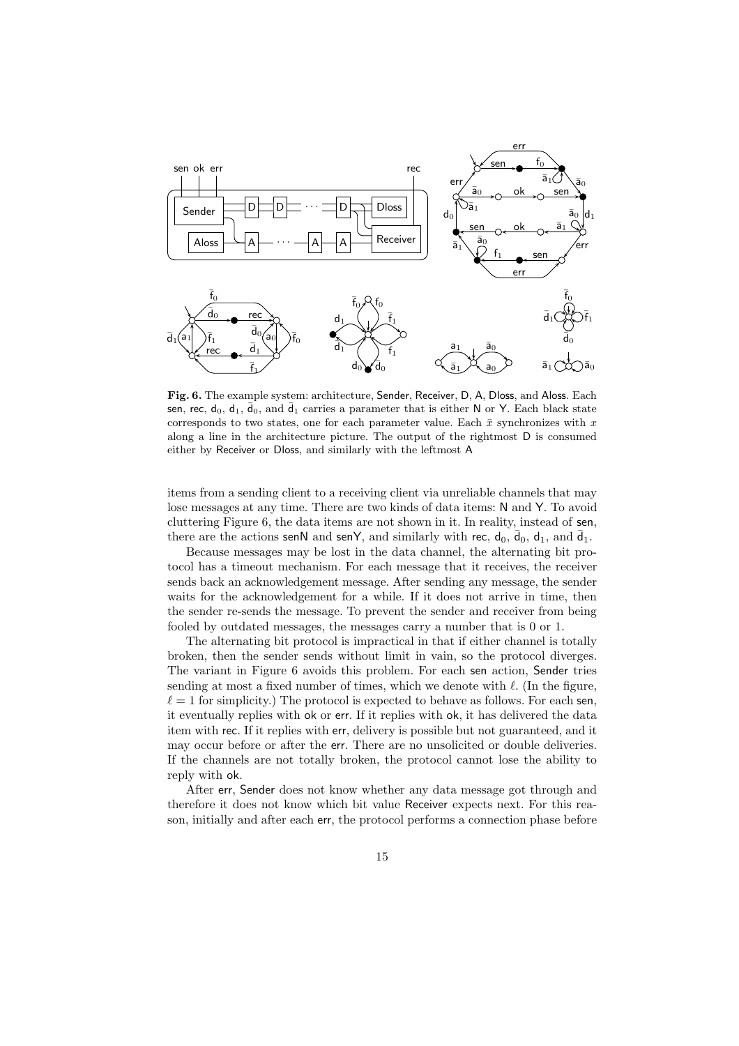

Fig. 6. The example system: architecture, Sender, Receiver, D, A, Dloss, and Aloss. Each sen, rec,  $d_0$ ,  $d_1$ ,  $\bar{d_0}$ , and  $\bar{d_1}$  carries a parameter that is either N or Y. Each black state corresponds to two states, one for each parameter value. Each  $\bar{x}$  synchronizes with x along a line in the architecture picture. The output of the rightmost D is consumed either by Receiver or Dloss, and similarly with the leftmost A

items from a sending client to a receiving client via unreliable channels that may lose messages at any time. There are two kinds of data items: N and Y. To avoid cluttering Figure 6, the data items are not shown in it. In reality, instead of sen, there are the actions senN and senY, and similarly with rec,  $d_0$ ,  $\bar{d}_0$ ,  $d_1$ , and  $\bar{d}_1$ .

Because messages may be lost in the data channel, the alternating bit protocol has a timeout mechanism. For each message that it receives, the receiver sends back an acknowledgement message. After sending any message, the sender waits for the acknowledgement for a while. If it does not arrive in time, then the sender re-sends the message. To prevent the sender and receiver from being fooled by outdated messages, the messages carry a number that is 0 or 1.

The alternating bit protocol is impractical in that if either channel is totally broken, then the sender sends without limit in vain, so the protocol diverges. The variant in Figure 6 avoids this problem. For each sen action, Sender tries sending at most a fixed number of times, which we denote with  $\ell$ . (In the figure,  $\ell = 1$  for simplicity.) The protocol is expected to behave as follows. For each sen, it eventually replies with ok or err. If it replies with ok, it has delivered the data item with rec. If it replies with err, delivery is possible but not guaranteed, and it may occur before or after the err. There are no unsolicited or double deliveries. If the channels are not totally broken, the protocol cannot lose the ability to reply with ok.

After err, Sender does not know whether any data message got through and therefore it does not know which bit value Receiver expects next. For this reason, initially and after each err, the protocol performs a connection phase before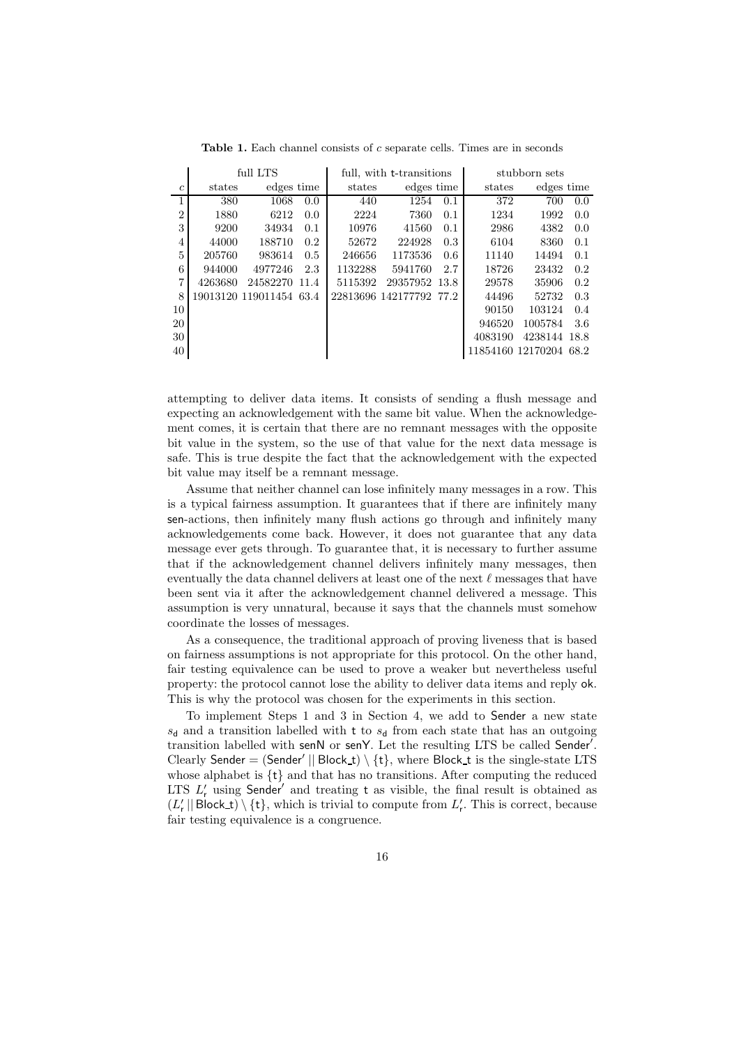|                | full LTS |                         |      | full, with t-transitions |                         |     | stubborn sets |                        |       |  |
|----------------|----------|-------------------------|------|--------------------------|-------------------------|-----|---------------|------------------------|-------|--|
| $\mathfrak{c}$ | states   | edges time              |      | states                   | edges time              |     | states        | edges time             |       |  |
| $\mathbf{1}$   | 380      | 1068                    | 0.0  | 440                      | 1254                    | 0.1 | 372           | 700                    | 0.0   |  |
| $\overline{2}$ | 1880     | 6212                    | 0.0  | 2224                     | 7360                    | 0.1 | 1234          | 1992                   | 0.0   |  |
| 3              | 9200     | 34934                   | 0.1  | 10976                    | 41560                   | 0.1 | 2986          | 4382                   | 0.0   |  |
| $\overline{4}$ | 44000    | 188710                  | 0.2  | 52672                    | 224928                  | 0.3 | 6104          | 8360                   | 0.1   |  |
| 5              | 205760   | 983614                  | 0.5  | 246656                   | 1173536                 | 0.6 | 11140         | 14494                  | 0.1   |  |
| 6              | 944000   | 4977246                 | 2.3  | 1132288                  | 5941760                 | 2.7 | 18726         | 23432                  | 0.2   |  |
| $\overline{7}$ | 4263680  | 24582270                | 11.4 | 5115392                  | 29357952 13.8           |     | 29578         | 35906                  | 0.2   |  |
| 8              |          | 19013120 119011454 63.4 |      |                          | 22813696 142177792 77.2 |     | 44496         | 52732                  | 0.3   |  |
| 10             |          |                         |      |                          |                         |     | 90150         | 103124                 | 0.4   |  |
| 20             |          |                         |      |                          |                         |     | 946520        | 1005784                | 3.6   |  |
| 30             |          |                         |      |                          |                         |     | 4083190       | 4238144                | -18.8 |  |
| 40             |          |                         |      |                          |                         |     |               | 11854160 12170204 68.2 |       |  |

Table 1. Each channel consists of c separate cells. Times are in seconds

attempting to deliver data items. It consists of sending a flush message and expecting an acknowledgement with the same bit value. When the acknowledgement comes, it is certain that there are no remnant messages with the opposite bit value in the system, so the use of that value for the next data message is safe. This is true despite the fact that the acknowledgement with the expected bit value may itself be a remnant message.

Assume that neither channel can lose infinitely many messages in a row. This is a typical fairness assumption. It guarantees that if there are infinitely many sen-actions, then infinitely many flush actions go through and infinitely many acknowledgements come back. However, it does not guarantee that any data message ever gets through. To guarantee that, it is necessary to further assume that if the acknowledgement channel delivers infinitely many messages, then eventually the data channel delivers at least one of the next  $\ell$  messages that have been sent via it after the acknowledgement channel delivered a message. This assumption is very unnatural, because it says that the channels must somehow coordinate the losses of messages.

As a consequence, the traditional approach of proving liveness that is based on fairness assumptions is not appropriate for this protocol. On the other hand, fair testing equivalence can be used to prove a weaker but nevertheless useful property: the protocol cannot lose the ability to deliver data items and reply ok. This is why the protocol was chosen for the experiments in this section.

To implement Steps 1 and 3 in Section 4, we add to Sender a new state  $s_d$  and a transition labelled with t to  $s_d$  from each state that has an outgoing transition labelled with senN or senY. Let the resulting LTS be called Sender'. Clearly Sender =  $(Sender' || Block_t) \setminus \{t\}$ , where Block t is the single-state LTS whose alphabet is {t} and that has no transitions. After computing the reduced LTS  $L'_{r}$  using Sender' and treating t as visible, the final result is obtained as  $(L'_r || \text{Block}_r) \setminus {\text{t}},$  which is trivial to compute from  $L'_r$ . This is correct, because fair testing equivalence is a congruence.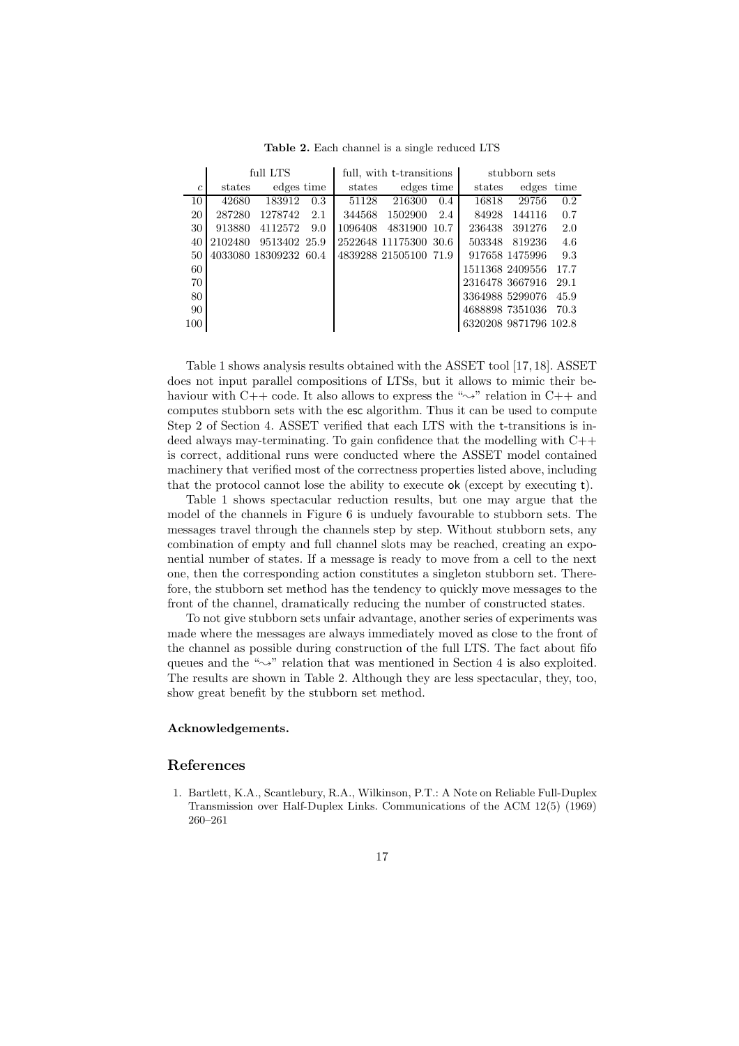|                | full LTS |                       |     | full, with t-transitions |                       |     | stubborn sets |                       |      |
|----------------|----------|-----------------------|-----|--------------------------|-----------------------|-----|---------------|-----------------------|------|
| $\mathfrak{c}$ | states   | edges time            |     | states                   | edges time            |     | states        | edges time            |      |
| 10             | 42680    | 183912                | 0.3 | 51128                    | 216300                | 0.4 | 16818         | 29756                 | 0.2  |
| 20             | 287280   | 1278742               | 2.1 | 344568                   | 1502900               | 2.4 | 84928         | 144116                | 0.7  |
| 30             | 913880   | 4112572               | 9.0 | 1096408                  | 4831900 10.7          |     | 236438        | 391276                | 2.0  |
| 40             | 2102480  | 9513402 25.9          |     |                          | 2522648 11175300 30.6 |     | 503348        | 819236                | 4.6  |
| 50             |          | 4033080 18309232 60.4 |     |                          | 4839288 21505100 71.9 |     |               | 917658 1475996        | 9.3  |
| 60             |          |                       |     |                          |                       |     |               | 1511368 2409556       | 17.7 |
| 70             |          |                       |     |                          |                       |     |               | 2316478 3667916       | 29.1 |
| 80             |          |                       |     |                          |                       |     |               | 3364988 5299076       | 45.9 |
| 90             |          |                       |     |                          |                       |     |               | 4688898 7351036       | 70.3 |
| 100            |          |                       |     |                          |                       |     |               | 6320208 9871796 102.8 |      |

Table 2. Each channel is a single reduced LTS

Table 1 shows analysis results obtained with the ASSET tool [17, 18]. ASSET does not input parallel compositions of LTSs, but it allows to mimic their behaviour with C++ code. It also allows to express the " $\sim$ " relation in C++ and computes stubborn sets with the esc algorithm. Thus it can be used to compute Step 2 of Section 4. ASSET verified that each LTS with the t-transitions is indeed always may-terminating. To gain confidence that the modelling with C++ is correct, additional runs were conducted where the ASSET model contained machinery that verified most of the correctness properties listed above, including that the protocol cannot lose the ability to execute ok (except by executing t).

Table 1 shows spectacular reduction results, but one may argue that the model of the channels in Figure 6 is unduely favourable to stubborn sets. The messages travel through the channels step by step. Without stubborn sets, any combination of empty and full channel slots may be reached, creating an exponential number of states. If a message is ready to move from a cell to the next one, then the corresponding action constitutes a singleton stubborn set. Therefore, the stubborn set method has the tendency to quickly move messages to the front of the channel, dramatically reducing the number of constructed states.

To not give stubborn sets unfair advantage, another series of experiments was made where the messages are always immediately moved as close to the front of the channel as possible during construction of the full LTS. The fact about fifo queues and the " $\sim$ " relation that was mentioned in Section 4 is also exploited. The results are shown in Table 2. Although they are less spectacular, they, too, show great benefit by the stubborn set method.

# Acknowledgements.

### References

1. Bartlett, K.A., Scantlebury, R.A., Wilkinson, P.T.: A Note on Reliable Full-Duplex Transmission over Half-Duplex Links. Communications of the ACM 12(5) (1969) 260–261